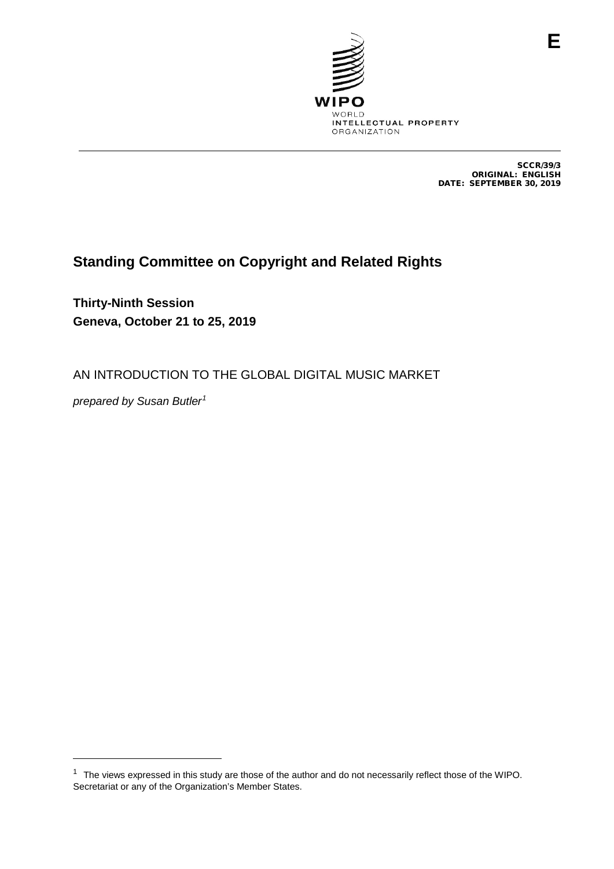

SCCR/39/3 ORIGINAL: ENGLISH DATE: SEPTEMBER 30, 2019

# **Standing Committee on Copyright and Related Rights**

**Thirty-Ninth Session Geneva, October 21 to 25, 2019**

AN INTRODUCTION TO THE GLOBAL DIGITAL MUSIC MARKET

*prepared by Susan Butler[1](#page-0-0)*

-

<span id="page-0-0"></span><sup>&</sup>lt;sup>1</sup> The views expressed in this study are those of the author and do not necessarily reflect those of the WIPO. Secretariat or any of the Organization's Member States.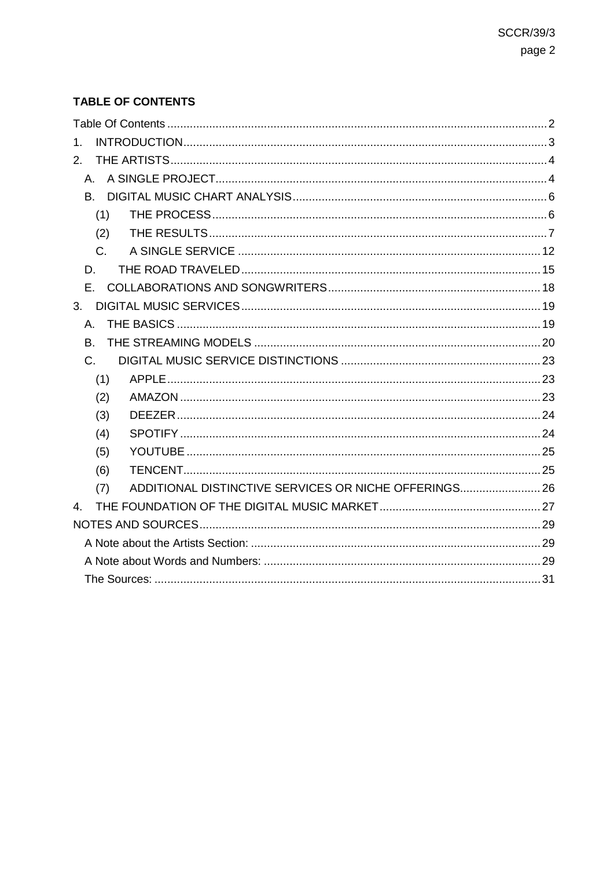# <span id="page-1-0"></span>**TABLE OF CONTENTS**

| 1.                                                           |  |
|--------------------------------------------------------------|--|
| 2.                                                           |  |
| $A_{-}$                                                      |  |
|                                                              |  |
| (1)                                                          |  |
| (2)                                                          |  |
| $C_{\cdot}$                                                  |  |
| D.                                                           |  |
| E.,                                                          |  |
| 3 <sub>1</sub>                                               |  |
| А.                                                           |  |
| B.                                                           |  |
| $C_{1}$                                                      |  |
| (1)                                                          |  |
| (2)                                                          |  |
| (3)                                                          |  |
| (4)                                                          |  |
| (5)                                                          |  |
| (6)                                                          |  |
| ADDITIONAL DISTINCTIVE SERVICES OR NICHE OFFERINGS 26<br>(7) |  |
| $\mathbf{A}$                                                 |  |
|                                                              |  |
|                                                              |  |
|                                                              |  |
|                                                              |  |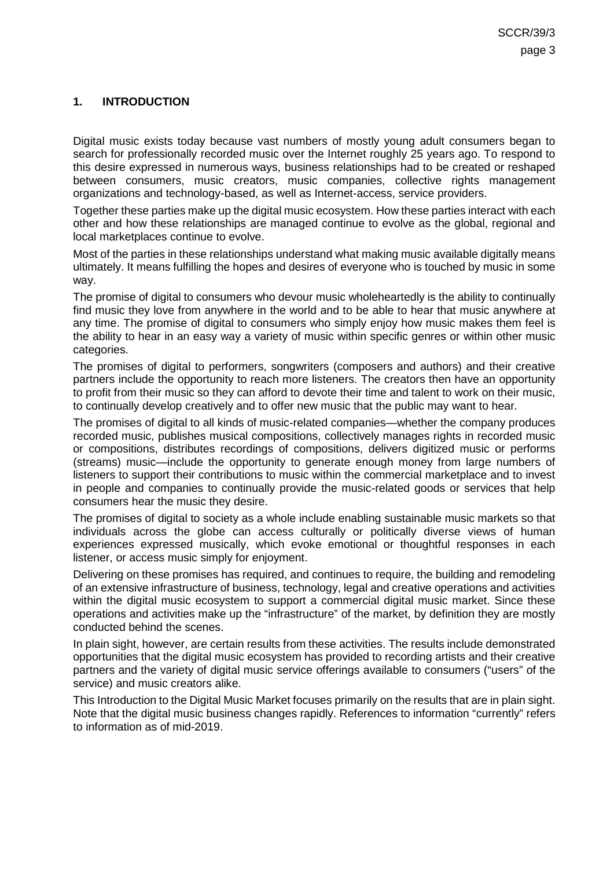### <span id="page-2-0"></span>**1. INTRODUCTION**

Digital music exists today because vast numbers of mostly young adult consumers began to search for professionally recorded music over the Internet roughly 25 years ago. To respond to this desire expressed in numerous ways, business relationships had to be created or reshaped between consumers, music creators, music companies, collective rights management organizations and technology-based, as well as Internet-access, service providers.

Together these parties make up the digital music ecosystem. How these parties interact with each other and how these relationships are managed continue to evolve as the global, regional and local marketplaces continue to evolve.

Most of the parties in these relationships understand what making music available digitally means ultimately. It means fulfilling the hopes and desires of everyone who is touched by music in some way.

The promise of digital to consumers who devour music wholeheartedly is the ability to continually find music they love from anywhere in the world and to be able to hear that music anywhere at any time. The promise of digital to consumers who simply enjoy how music makes them feel is the ability to hear in an easy way a variety of music within specific genres or within other music categories.

The promises of digital to performers, songwriters (composers and authors) and their creative partners include the opportunity to reach more listeners. The creators then have an opportunity to profit from their music so they can afford to devote their time and talent to work on their music, to continually develop creatively and to offer new music that the public may want to hear.

The promises of digital to all kinds of music-related companies—whether the company produces recorded music, publishes musical compositions, collectively manages rights in recorded music or compositions, distributes recordings of compositions, delivers digitized music or performs (streams) music—include the opportunity to generate enough money from large numbers of listeners to support their contributions to music within the commercial marketplace and to invest in people and companies to continually provide the music-related goods or services that help consumers hear the music they desire.

The promises of digital to society as a whole include enabling sustainable music markets so that individuals across the globe can access culturally or politically diverse views of human experiences expressed musically, which evoke emotional or thoughtful responses in each listener, or access music simply for enjoyment.

Delivering on these promises has required, and continues to require, the building and remodeling of an extensive infrastructure of business, technology, legal and creative operations and activities within the digital music ecosystem to support a commercial digital music market. Since these operations and activities make up the "infrastructure" of the market, by definition they are mostly conducted behind the scenes.

In plain sight, however, are certain results from these activities. The results include demonstrated opportunities that the digital music ecosystem has provided to recording artists and their creative partners and the variety of digital music service offerings available to consumers ("users" of the service) and music creators alike.

This Introduction to the Digital Music Market focuses primarily on the results that are in plain sight. Note that the digital music business changes rapidly. References to information "currently" refers to information as of mid-2019.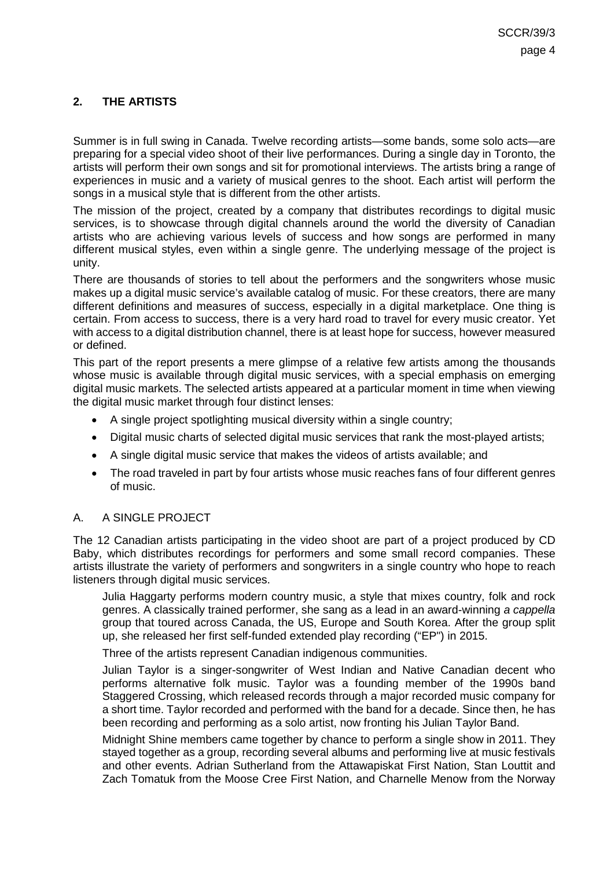### <span id="page-3-0"></span>**2. THE ARTISTS**

Summer is in full swing in Canada. Twelve recording artists—some bands, some solo acts—are preparing for a special video shoot of their live performances. During a single day in Toronto, the artists will perform their own songs and sit for promotional interviews. The artists bring a range of experiences in music and a variety of musical genres to the shoot. Each artist will perform the songs in a musical style that is different from the other artists.

The mission of the project, created by a company that distributes recordings to digital music services, is to showcase through digital channels around the world the diversity of Canadian artists who are achieving various levels of success and how songs are performed in many different musical styles, even within a single genre. The underlying message of the project is unity.

There are thousands of stories to tell about the performers and the songwriters whose music makes up a digital music service's available catalog of music. For these creators, there are many different definitions and measures of success, especially in a digital marketplace. One thing is certain. From access to success, there is a very hard road to travel for every music creator. Yet with access to a digital distribution channel, there is at least hope for success, however measured or defined.

This part of the report presents a mere glimpse of a relative few artists among the thousands whose music is available through digital music services, with a special emphasis on emerging digital music markets. The selected artists appeared at a particular moment in time when viewing the digital music market through four distinct lenses:

- A single project spotlighting musical diversity within a single country;
- Digital music charts of selected digital music services that rank the most-played artists;
- A single digital music service that makes the videos of artists available; and
- The road traveled in part by four artists whose music reaches fans of four different genres of music.

### <span id="page-3-1"></span>A. A SINGLE PROJECT

The 12 Canadian artists participating in the video shoot are part of a project produced by CD Baby, which distributes recordings for performers and some small record companies. These artists illustrate the variety of performers and songwriters in a single country who hope to reach listeners through digital music services.

Julia Haggarty performs modern country music, a style that mixes country, folk and rock genres. A classically trained performer, she sang as a lead in an award-winning *a cappella* group that toured across Canada, the US, Europe and South Korea. After the group split up, she released her first self-funded extended play recording ("EP") in 2015.

Three of the artists represent Canadian indigenous communities.

Julian Taylor is a singer-songwriter of West Indian and Native Canadian decent who performs alternative folk music. Taylor was a founding member of the 1990s band Staggered Crossing, which released records through a major recorded music company for a short time. Taylor recorded and performed with the band for a decade. Since then, he has been recording and performing as a solo artist, now fronting his Julian Taylor Band.

Midnight Shine members came together by chance to perform a single show in 2011. They stayed together as a group, recording several albums and performing live at music festivals and other events. Adrian Sutherland from the Attawapiskat First Nation, Stan Louttit and Zach Tomatuk from the Moose Cree First Nation, and Charnelle Menow from the Norway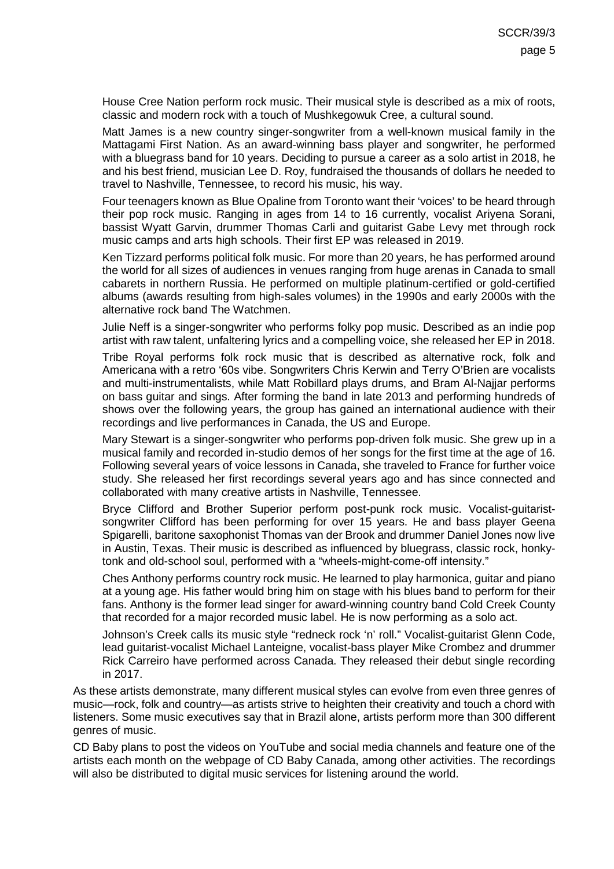House Cree Nation perform rock music. Their musical style is described as a mix of roots, classic and modern rock with a touch of Mushkegowuk Cree, a cultural sound.

Matt James is a new country singer-songwriter from a well-known musical family in the Mattagami First Nation. As an award-winning bass player and songwriter, he performed with a bluegrass band for 10 years. Deciding to pursue a career as a solo artist in 2018, he and his best friend, musician Lee D. Roy, fundraised the thousands of dollars he needed to travel to Nashville, Tennessee, to record his music, his way.

Four teenagers known as Blue Opaline from Toronto want their 'voices' to be heard through their pop rock music. Ranging in ages from 14 to 16 currently, vocalist Ariyena Sorani, bassist Wyatt Garvin, drummer Thomas Carli and guitarist Gabe Levy met through rock music camps and arts high schools. Their first EP was released in 2019.

Ken Tizzard performs political folk music. For more than 20 years, he has performed around the world for all sizes of audiences in venues ranging from huge arenas in Canada to small cabarets in northern Russia. He performed on multiple platinum-certified or gold-certified albums (awards resulting from high-sales volumes) in the 1990s and early 2000s with the alternative rock band The Watchmen.

Julie Neff is a singer-songwriter who performs folky pop music. Described as an indie pop artist with raw talent, unfaltering lyrics and a compelling voice, she released her EP in 2018.

Tribe Royal performs folk rock music that is described as alternative rock, folk and Americana with a retro '60s vibe. Songwriters Chris Kerwin and Terry O'Brien are vocalists and multi-instrumentalists, while Matt Robillard plays drums, and Bram Al-Najjar performs on bass guitar and sings. After forming the band in late 2013 and performing hundreds of shows over the following years, the group has gained an international audience with their recordings and live performances in Canada, the US and Europe.

Mary Stewart is a singer-songwriter who performs pop-driven folk music. She grew up in a musical family and recorded in-studio demos of her songs for the first time at the age of 16. Following several years of voice lessons in Canada, she traveled to France for further voice study. She released her first recordings several years ago and has since connected and collaborated with many creative artists in Nashville, Tennessee.

Bryce Clifford and Brother Superior perform post-punk rock music. Vocalist-guitaristsongwriter Clifford has been performing for over 15 years. He and bass player Geena Spigarelli, baritone saxophonist Thomas van der Brook and drummer Daniel Jones now live in Austin, Texas. Their music is described as influenced by bluegrass, classic rock, honkytonk and old-school soul, performed with a "wheels-might-come-off intensity."

Ches Anthony performs country rock music. He learned to play harmonica, guitar and piano at a young age. His father would bring him on stage with his blues band to perform for their fans. Anthony is the former lead singer for award-winning country band Cold Creek County that recorded for a major recorded music label. He is now performing as a solo act.

Johnson's Creek calls its music style "redneck rock 'n' roll." Vocalist-guitarist Glenn Code, lead guitarist-vocalist Michael Lanteigne, vocalist-bass player Mike Crombez and drummer Rick Carreiro have performed across Canada. They released their debut single recording in 2017.

As these artists demonstrate, many different musical styles can evolve from even three genres of music—rock, folk and country—as artists strive to heighten their creativity and touch a chord with listeners. Some music executives say that in Brazil alone, artists perform more than 300 different genres of music.

CD Baby plans to post the videos on YouTube and social media channels and feature one of the artists each month on the webpage of CD Baby Canada, among other activities. The recordings will also be distributed to digital music services for listening around the world.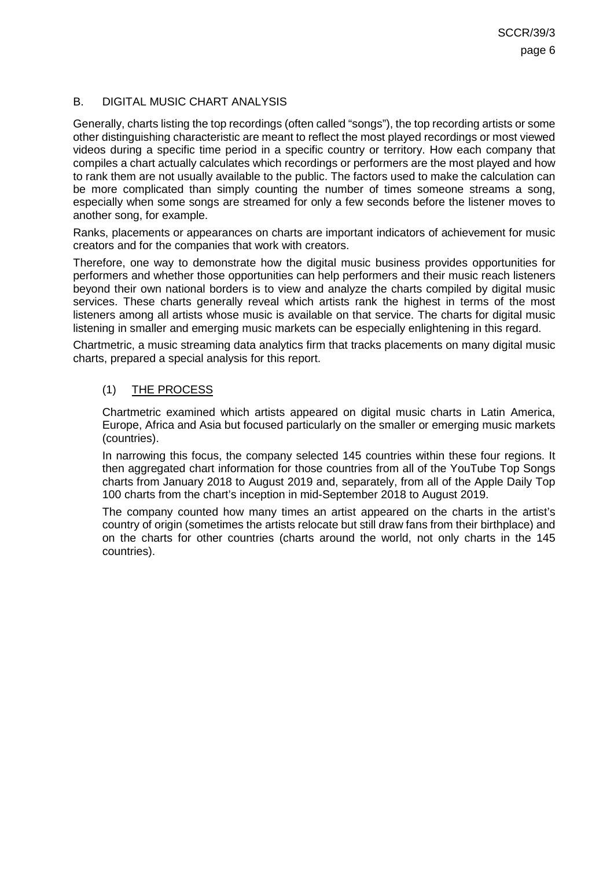### <span id="page-5-0"></span>B. DIGITAL MUSIC CHART ANALYSIS

Generally, charts listing the top recordings (often called "songs"), the top recording artists or some other distinguishing characteristic are meant to reflect the most played recordings or most viewed videos during a specific time period in a specific country or territory. How each company that compiles a chart actually calculates which recordings or performers are the most played and how to rank them are not usually available to the public. The factors used to make the calculation can be more complicated than simply counting the number of times someone streams a song, especially when some songs are streamed for only a few seconds before the listener moves to another song, for example.

Ranks, placements or appearances on charts are important indicators of achievement for music creators and for the companies that work with creators.

Therefore, one way to demonstrate how the digital music business provides opportunities for performers and whether those opportunities can help performers and their music reach listeners beyond their own national borders is to view and analyze the charts compiled by digital music services. These charts generally reveal which artists rank the highest in terms of the most listeners among all artists whose music is available on that service. The charts for digital music listening in smaller and emerging music markets can be especially enlightening in this regard.

<span id="page-5-1"></span>Chartmetric, a music streaming data analytics firm that tracks placements on many digital music charts, prepared a special analysis for this report.

### (1) THE PROCESS

Chartmetric examined which artists appeared on digital music charts in Latin America, Europe, Africa and Asia but focused particularly on the smaller or emerging music markets (countries).

In narrowing this focus, the company selected 145 countries within these four regions. It then aggregated chart information for those countries from all of the YouTube Top Songs charts from January 2018 to August 2019 and, separately, from all of the Apple Daily Top 100 charts from the chart's inception in mid-September 2018 to August 2019.

The company counted how many times an artist appeared on the charts in the artist's country of origin (sometimes the artists relocate but still draw fans from their birthplace) and on the charts for other countries (charts around the world, not only charts in the 145 countries).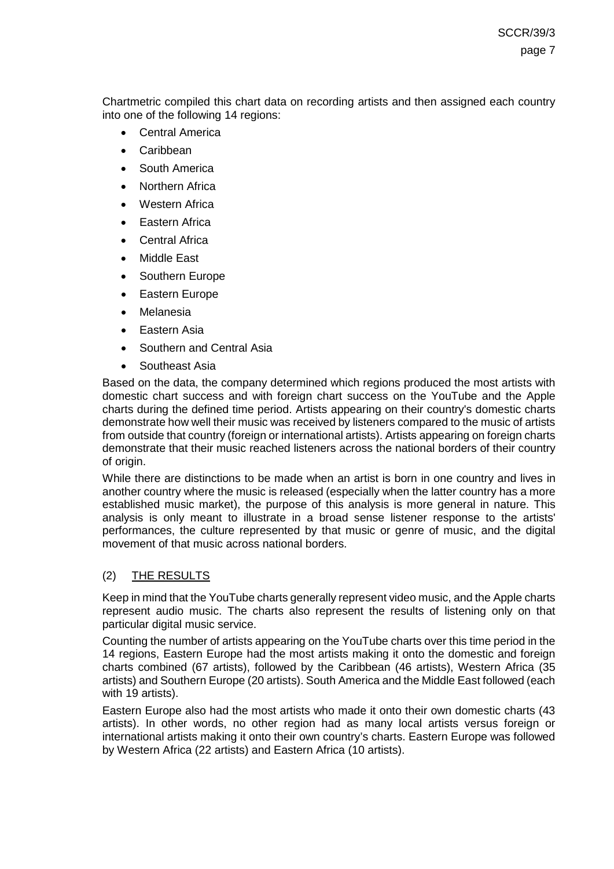Chartmetric compiled this chart data on recording artists and then assigned each country into one of the following 14 regions:

- **Central America**
- Caribbean
- South America
- Northern Africa
- Western Africa
- **Eastern Africa**
- **Central Africa**
- Middle East
- Southern Europe
- Eastern Europe
- **Melanesia**
- Eastern Asia
- Southern and Central Asia
- Southeast Asia

Based on the data, the company determined which regions produced the most artists with domestic chart success and with foreign chart success on the YouTube and the Apple charts during the defined time period. Artists appearing on their country's domestic charts demonstrate how well their music was received by listeners compared to the music of artists from outside that country (foreign or international artists). Artists appearing on foreign charts demonstrate that their music reached listeners across the national borders of their country of origin.

While there are distinctions to be made when an artist is born in one country and lives in another country where the music is released (especially when the latter country has a more established music market), the purpose of this analysis is more general in nature. This analysis is only meant to illustrate in a broad sense listener response to the artists' performances, the culture represented by that music or genre of music, and the digital movement of that music across national borders.

### <span id="page-6-0"></span>(2) THE RESULTS

Keep in mind that the YouTube charts generally represent video music, and the Apple charts represent audio music. The charts also represent the results of listening only on that particular digital music service.

Counting the number of artists appearing on the YouTube charts over this time period in the 14 regions, Eastern Europe had the most artists making it onto the domestic and foreign charts combined (67 artists), followed by the Caribbean (46 artists), Western Africa (35 artists) and Southern Europe (20 artists). South America and the Middle East followed (each with 19 artists).

Eastern Europe also had the most artists who made it onto their own domestic charts (43 artists). In other words, no other region had as many local artists versus foreign or international artists making it onto their own country's charts. Eastern Europe was followed by Western Africa (22 artists) and Eastern Africa (10 artists).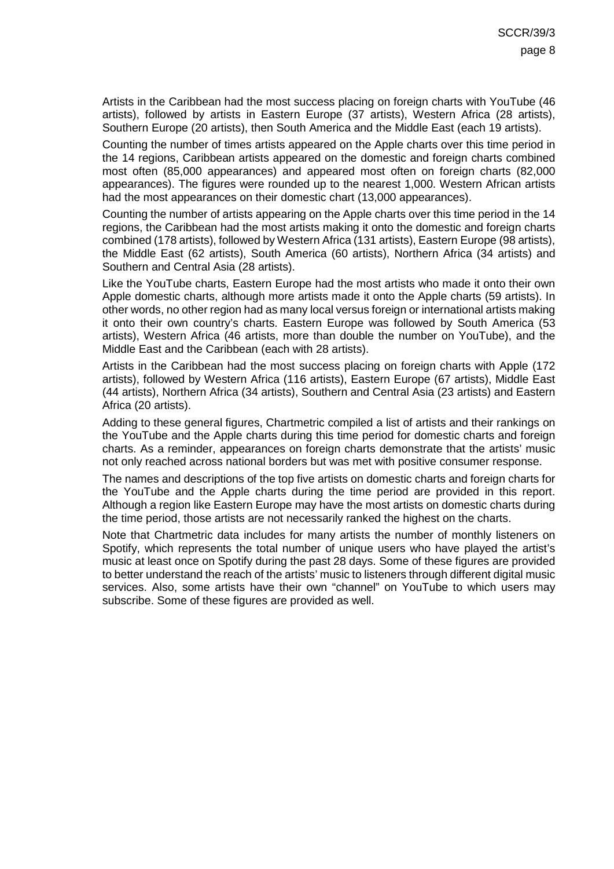Artists in the Caribbean had the most success placing on foreign charts with YouTube (46 artists), followed by artists in Eastern Europe (37 artists), Western Africa (28 artists), Southern Europe (20 artists), then South America and the Middle East (each 19 artists).

Counting the number of times artists appeared on the Apple charts over this time period in the 14 regions, Caribbean artists appeared on the domestic and foreign charts combined most often (85,000 appearances) and appeared most often on foreign charts (82,000 appearances). The figures were rounded up to the nearest 1,000. Western African artists had the most appearances on their domestic chart (13,000 appearances).

Counting the number of artists appearing on the Apple charts over this time period in the 14 regions, the Caribbean had the most artists making it onto the domestic and foreign charts combined (178 artists), followed by Western Africa (131 artists), Eastern Europe (98 artists), the Middle East (62 artists), South America (60 artists), Northern Africa (34 artists) and Southern and Central Asia (28 artists).

Like the YouTube charts, Eastern Europe had the most artists who made it onto their own Apple domestic charts, although more artists made it onto the Apple charts (59 artists). In other words, no other region had as many local versus foreign or international artists making it onto their own country's charts. Eastern Europe was followed by South America (53 artists), Western Africa (46 artists, more than double the number on YouTube), and the Middle East and the Caribbean (each with 28 artists).

Artists in the Caribbean had the most success placing on foreign charts with Apple (172 artists), followed by Western Africa (116 artists), Eastern Europe (67 artists), Middle East (44 artists), Northern Africa (34 artists), Southern and Central Asia (23 artists) and Eastern Africa (20 artists).

Adding to these general figures, Chartmetric compiled a list of artists and their rankings on the YouTube and the Apple charts during this time period for domestic charts and foreign charts. As a reminder, appearances on foreign charts demonstrate that the artists' music not only reached across national borders but was met with positive consumer response.

The names and descriptions of the top five artists on domestic charts and foreign charts for the YouTube and the Apple charts during the time period are provided in this report. Although a region like Eastern Europe may have the most artists on domestic charts during the time period, those artists are not necessarily ranked the highest on the charts.

Note that Chartmetric data includes for many artists the number of monthly listeners on Spotify, which represents the total number of unique users who have played the artist's music at least once on Spotify during the past 28 days. Some of these figures are provided to better understand the reach of the artists' music to listeners through different digital music services. Also, some artists have their own "channel" on YouTube to which users may subscribe. Some of these figures are provided as well.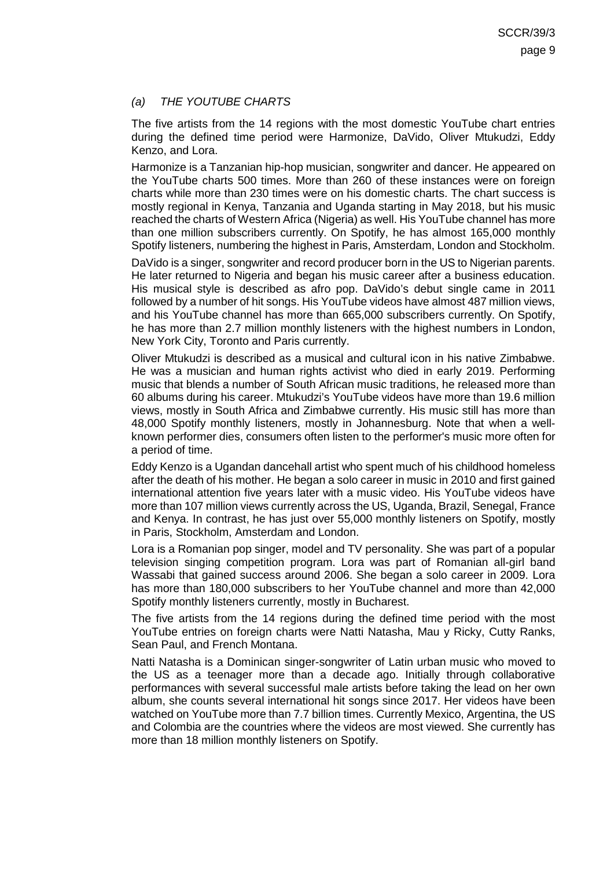### *(a) THE YOUTUBE CHARTS*

The five artists from the 14 regions with the most domestic YouTube chart entries during the defined time period were Harmonize, DaVido, Oliver Mtukudzi, Eddy Kenzo, and Lora.

Harmonize is a Tanzanian hip-hop musician, songwriter and dancer. He appeared on the YouTube charts 500 times. More than 260 of these instances were on foreign charts while more than 230 times were on his domestic charts. The chart success is mostly regional in Kenya, Tanzania and Uganda starting in May 2018, but his music reached the charts of Western Africa (Nigeria) as well. His YouTube channel has more than one million subscribers currently. On Spotify, he has almost 165,000 monthly Spotify listeners, numbering the highest in Paris, Amsterdam, London and Stockholm.

DaVido is a singer, songwriter and record producer born in the US to Nigerian parents. He later returned to Nigeria and began his music career after a business education. His musical style is described as afro pop. DaVido's debut single came in 2011 followed by a number of hit songs. His YouTube videos have almost 487 million views, and his YouTube channel has more than 665,000 subscribers currently. On Spotify, he has more than 2.7 million monthly listeners with the highest numbers in London, New York City, Toronto and Paris currently.

Oliver Mtukudzi is described as a musical and cultural icon in his native Zimbabwe. He was a musician and human rights activist who died in early 2019. Performing music that blends a number of South African music traditions, he released more than 60 albums during his career. Mtukudzi's YouTube videos have more than 19.6 million views, mostly in South Africa and Zimbabwe currently. His music still has more than 48,000 Spotify monthly listeners, mostly in Johannesburg. Note that when a wellknown performer dies, consumers often listen to the performer's music more often for a period of time.

Eddy Kenzo is a Ugandan dancehall artist who spent much of his childhood homeless after the death of his mother. He began a solo career in music in 2010 and first gained international attention five years later with a music video. His YouTube videos have more than 107 million views currently across the US, Uganda, Brazil, Senegal, France and Kenya. In contrast, he has just over 55,000 monthly listeners on Spotify, mostly in Paris, Stockholm, Amsterdam and London.

Lora is a Romanian pop singer, model and TV personality. She was part of a popular television singing competition program. Lora was part of Romanian all-girl band Wassabi that gained success around 2006. She began a solo career in 2009. Lora has more than 180,000 subscribers to her YouTube channel and more than 42,000 Spotify monthly listeners currently, mostly in Bucharest.

The five artists from the 14 regions during the defined time period with the most YouTube entries on foreign charts were Natti Natasha, Mau y Ricky, Cutty Ranks, Sean Paul, and French Montana.

Natti Natasha is a Dominican singer-songwriter of Latin urban music who moved to the US as a teenager more than a decade ago. Initially through collaborative performances with several successful male artists before taking the lead on her own album, she counts several international hit songs since 2017. Her videos have been watched on YouTube more than 7.7 billion times. Currently Mexico, Argentina, the US and Colombia are the countries where the videos are most viewed. She currently has more than 18 million monthly listeners on Spotify.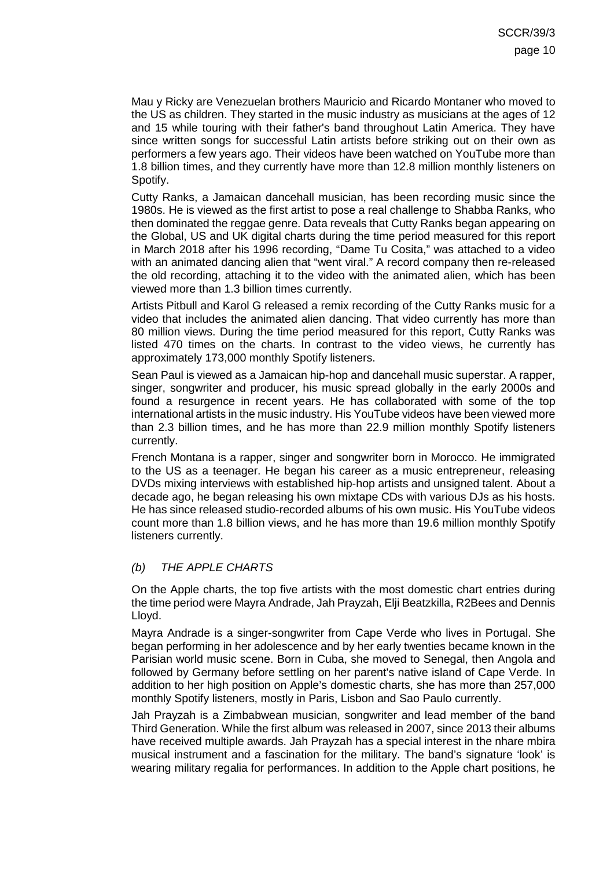Mau y Ricky are Venezuelan brothers Mauricio and Ricardo Montaner who moved to the US as children. They started in the music industry as musicians at the ages of 12 and 15 while touring with their father's band throughout Latin America. They have since written songs for successful Latin artists before striking out on their own as performers a few years ago. Their videos have been watched on YouTube more than 1.8 billion times, and they currently have more than 12.8 million monthly listeners on Spotify.

Cutty Ranks, a Jamaican dancehall musician, has been recording music since the 1980s. He is viewed as the first artist to pose a real challenge to Shabba Ranks, who then dominated the reggae genre. Data reveals that Cutty Ranks began appearing on the Global, US and UK digital charts during the time period measured for this report in March 2018 after his 1996 recording, "Dame Tu Cosita," was attached to a video with an animated dancing alien that "went viral." A record company then re-released the old recording, attaching it to the video with the animated alien, which has been viewed more than 1.3 billion times currently.

Artists Pitbull and Karol G released a remix recording of the Cutty Ranks music for a video that includes the animated alien dancing. That video currently has more than 80 million views. During the time period measured for this report, Cutty Ranks was listed 470 times on the charts. In contrast to the video views, he currently has approximately 173,000 monthly Spotify listeners.

Sean Paul is viewed as a Jamaican hip-hop and dancehall music superstar. A rapper, singer, songwriter and producer, his music spread globally in the early 2000s and found a resurgence in recent years. He has collaborated with some of the top international artists in the music industry. His YouTube videos have been viewed more than 2.3 billion times, and he has more than 22.9 million monthly Spotify listeners currently.

French Montana is a rapper, singer and songwriter born in Morocco. He immigrated to the US as a teenager. He began his career as a music entrepreneur, releasing DVDs mixing interviews with established hip-hop artists and unsigned talent. About a decade ago, he began releasing his own mixtape CDs with various DJs as his hosts. He has since released studio-recorded albums of his own music. His YouTube videos count more than 1.8 billion views, and he has more than 19.6 million monthly Spotify listeners currently.

### *(b) THE APPLE CHARTS*

On the Apple charts, the top five artists with the most domestic chart entries during the time period were Mayra Andrade, Jah Prayzah, Elji Beatzkilla, R2Bees and Dennis Lloyd.

Mayra Andrade is a singer-songwriter from Cape Verde who lives in Portugal. She began performing in her adolescence and by her early twenties became known in the Parisian world music scene. Born in Cuba, she moved to Senegal, then Angola and followed by Germany before settling on her parent's native island of Cape Verde. In addition to her high position on Apple's domestic charts, she has more than 257,000 monthly Spotify listeners, mostly in Paris, Lisbon and Sao Paulo currently.

Jah Prayzah is a Zimbabwean musician, songwriter and lead member of the band Third Generation. While the first album was released in 2007, since 2013 their albums have received multiple awards. Jah Prayzah has a special interest in the nhare mbira musical instrument and a fascination for the military. The band's signature 'look' is wearing military regalia for performances. In addition to the Apple chart positions, he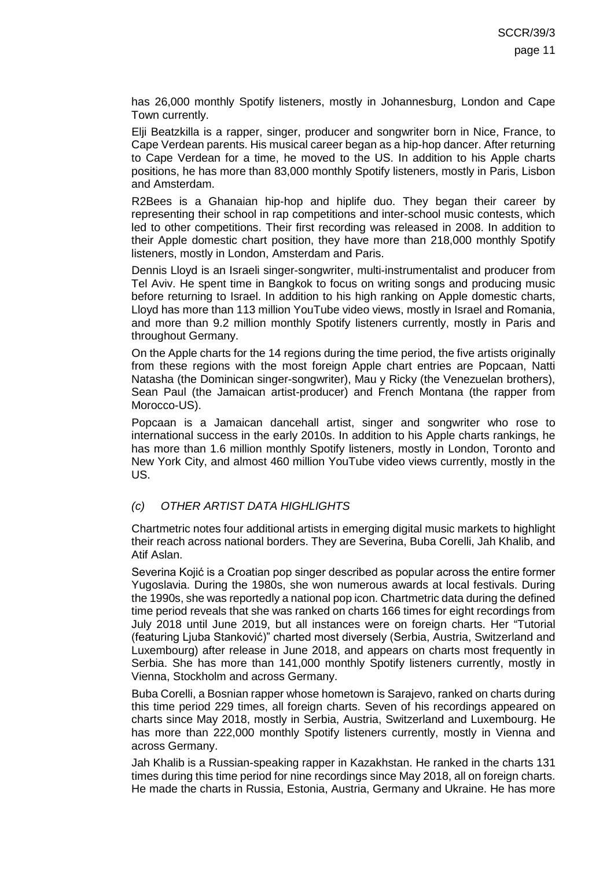has 26,000 monthly Spotify listeners, mostly in Johannesburg, London and Cape Town currently.

Elji Beatzkilla is a rapper, singer, producer and songwriter born in Nice, France, to Cape Verdean parents. His musical career began as a hip-hop dancer. After returning to Cape Verdean for a time, he moved to the US. In addition to his Apple charts positions, he has more than 83,000 monthly Spotify listeners, mostly in Paris, Lisbon and Amsterdam.

R2Bees is a Ghanaian hip-hop and hiplife duo. They began their career by representing their school in rap competitions and inter-school music contests, which led to other competitions. Their first recording was released in 2008. In addition to their Apple domestic chart position, they have more than 218,000 monthly Spotify listeners, mostly in London, Amsterdam and Paris.

Dennis Lloyd is an Israeli singer-songwriter, multi-instrumentalist and producer from Tel Aviv. He spent time in Bangkok to focus on writing songs and producing music before returning to Israel. In addition to his high ranking on Apple domestic charts, Lloyd has more than 113 million YouTube video views, mostly in Israel and Romania, and more than 9.2 million monthly Spotify listeners currently, mostly in Paris and throughout Germany.

On the Apple charts for the 14 regions during the time period, the five artists originally from these regions with the most foreign Apple chart entries are Popcaan, Natti Natasha (the Dominican singer-songwriter), Mau y Ricky (the Venezuelan brothers), Sean Paul (the Jamaican artist-producer) and French Montana (the rapper from Morocco-US).

Popcaan is a Jamaican dancehall artist, singer and songwriter who rose to international success in the early 2010s. In addition to his Apple charts rankings, he has more than 1.6 million monthly Spotify listeners, mostly in London, Toronto and New York City, and almost 460 million YouTube video views currently, mostly in the US.

### *(c) OTHER ARTIST DATA HIGHLIGHTS*

Chartmetric notes four additional artists in emerging digital music markets to highlight their reach across national borders. They are Severina, Buba Corelli, Jah Khalib, and Atif Aslan.

Severina Kojić is a Croatian pop singer described as popular across the entire former Yugoslavia. During the 1980s, she won numerous awards at local festivals. During the 1990s, she was reportedly a national pop icon. Chartmetric data during the defined time period reveals that she was ranked on charts 166 times for eight recordings from July 2018 until June 2019, but all instances were on foreign charts. Her "Tutorial (featuring Ljuba Stanković)" charted most diversely (Serbia, Austria, Switzerland and Luxembourg) after release in June 2018, and appears on charts most frequently in Serbia. She has more than 141,000 monthly Spotify listeners currently, mostly in Vienna, Stockholm and across Germany.

Buba Corelli, a Bosnian rapper whose hometown is Sarajevo, ranked on charts during this time period 229 times, all foreign charts. Seven of his recordings appeared on charts since May 2018, mostly in Serbia, Austria, Switzerland and Luxembourg. He has more than 222,000 monthly Spotify listeners currently, mostly in Vienna and across Germany.

Jah Khalib is a Russian-speaking rapper in Kazakhstan. He ranked in the charts 131 times during this time period for nine recordings since May 2018, all on foreign charts. He made the charts in Russia, Estonia, Austria, Germany and Ukraine. He has more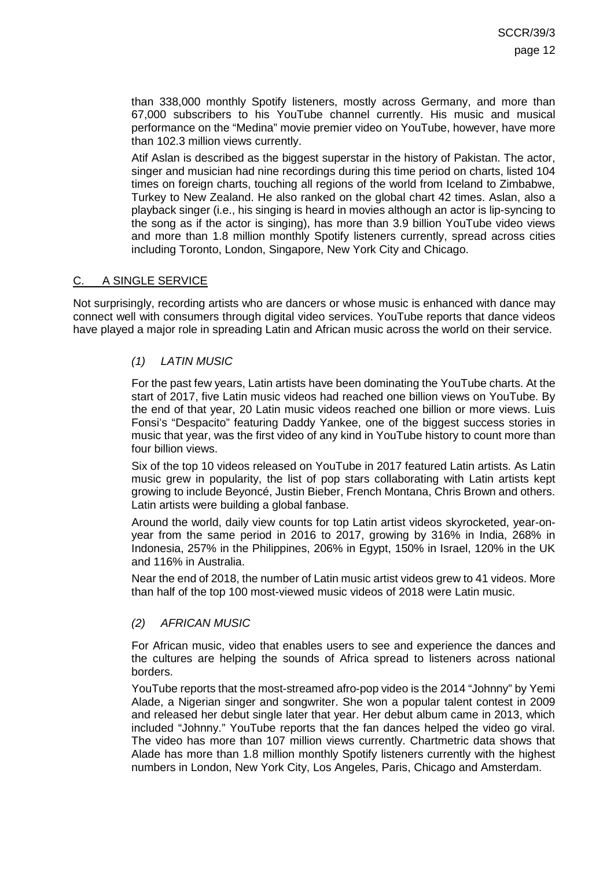than 338,000 monthly Spotify listeners, mostly across Germany, and more than 67,000 subscribers to his YouTube channel currently. His music and musical performance on the "Medina" movie premier video on YouTube, however, have more than 102.3 million views currently.

Atif Aslan is described as the biggest superstar in the history of Pakistan. The actor, singer and musician had nine recordings during this time period on charts, listed 104 times on foreign charts, touching all regions of the world from Iceland to Zimbabwe, Turkey to New Zealand. He also ranked on the global chart 42 times. Aslan, also a playback singer (i.e., his singing is heard in movies although an actor is lip-syncing to the song as if the actor is singing), has more than 3.9 billion YouTube video views and more than 1.8 million monthly Spotify listeners currently, spread across cities including Toronto, London, Singapore, New York City and Chicago.

### <span id="page-11-0"></span>C. A SINGLE SERVICE

Not surprisingly, recording artists who are dancers or whose music is enhanced with dance may connect well with consumers through digital video services. YouTube reports that dance videos have played a major role in spreading Latin and African music across the world on their service.

### *(1) LATIN MUSIC*

For the past few years, Latin artists have been dominating the YouTube charts. At the start of 2017, five Latin music videos had reached one billion views on YouTube. By the end of that year, 20 Latin music videos reached one billion or more views. Luis Fonsi's "Despacito" featuring Daddy Yankee, one of the biggest success stories in music that year, was the first video of any kind in YouTube history to count more than four billion views.

Six of the top 10 videos released on YouTube in 2017 featured Latin artists. As Latin music grew in popularity, the list of pop stars collaborating with Latin artists kept growing to include Beyoncé, Justin Bieber, French Montana, Chris Brown and others. Latin artists were building a global fanbase.

Around the world, daily view counts for top Latin artist videos skyrocketed, year-onyear from the same period in 2016 to 2017, growing by 316% in India, 268% in Indonesia, 257% in the Philippines, 206% in Egypt, 150% in Israel, 120% in the UK and 116% in Australia.

Near the end of 2018, the number of Latin music artist videos grew to 41 videos. More than half of the top 100 most-viewed music videos of 2018 were Latin music.

### *(2) AFRICAN MUSIC*

For African music, video that enables users to see and experience the dances and the cultures are helping the sounds of Africa spread to listeners across national borders.

YouTube reports that the most-streamed afro-pop video is the 2014 "Johnny" by Yemi Alade, a Nigerian singer and songwriter. She won a popular talent contest in 2009 and released her debut single later that year. Her debut album came in 2013, which included "Johnny." YouTube reports that the fan dances helped the video go viral. The video has more than 107 million views currently. Chartmetric data shows that Alade has more than 1.8 million monthly Spotify listeners currently with the highest numbers in London, New York City, Los Angeles, Paris, Chicago and Amsterdam.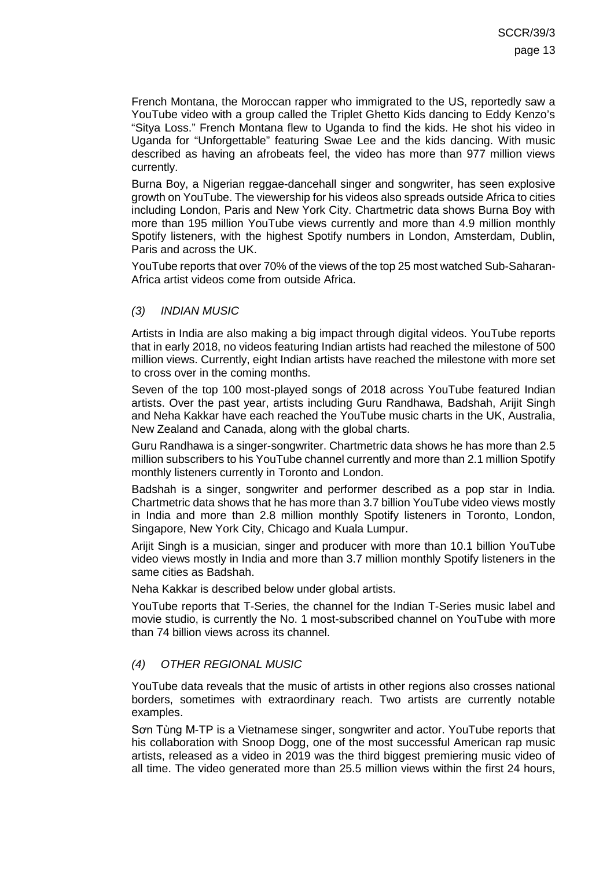French Montana, the Moroccan rapper who immigrated to the US, reportedly saw a YouTube video with a group called the Triplet Ghetto Kids dancing to Eddy Kenzo's "Sitya Loss." French Montana flew to Uganda to find the kids. He shot his video in Uganda for "Unforgettable" featuring Swae Lee and the kids dancing. With music described as having an afrobeats feel, the video has more than 977 million views currently.

Burna Boy, a Nigerian reggae-dancehall singer and songwriter, has seen explosive growth on YouTube. The viewership for his videos also spreads outside Africa to cities including London, Paris and New York City. Chartmetric data shows Burna Boy with more than 195 million YouTube views currently and more than 4.9 million monthly Spotify listeners, with the highest Spotify numbers in London, Amsterdam, Dublin, Paris and across the UK.

YouTube reports that over 70% of the views of the top 25 most watched Sub-Saharan-Africa artist videos come from outside Africa.

#### *(3) INDIAN MUSIC*

Artists in India are also making a big impact through digital videos. YouTube reports that in early 2018, no videos featuring Indian artists had reached the milestone of 500 million views. Currently, eight Indian artists have reached the milestone with more set to cross over in the coming months.

Seven of the top 100 most-played songs of 2018 across YouTube featured Indian artists. Over the past year, artists including Guru Randhawa, Badshah, Arijit Singh and Neha Kakkar have each reached the YouTube music charts in the UK, Australia, New Zealand and Canada, along with the global charts.

Guru Randhawa is a singer-songwriter. Chartmetric data shows he has more than 2.5 million subscribers to his YouTube channel currently and more than 2.1 million Spotify monthly listeners currently in Toronto and London.

Badshah is a singer, songwriter and performer described as a pop star in India. Chartmetric data shows that he has more than 3.7 billion YouTube video views mostly in India and more than 2.8 million monthly Spotify listeners in Toronto, London, Singapore, New York City, Chicago and Kuala Lumpur.

Arijit Singh is a musician, singer and producer with more than 10.1 billion YouTube video views mostly in India and more than 3.7 million monthly Spotify listeners in the same cities as Badshah.

Neha Kakkar is described below under global artists.

YouTube reports that T-Series, the channel for the Indian T-Series music label and movie studio, is currently the No. 1 most-subscribed channel on YouTube with more than 74 billion views across its channel.

### *(4) OTHER REGIONAL MUSIC*

YouTube data reveals that the music of artists in other regions also crosses national borders, sometimes with extraordinary reach. Two artists are currently notable examples.

Sơn Tùng M-TP is a Vietnamese singer, songwriter and actor. YouTube reports that his collaboration with Snoop Dogg, one of the most successful American rap music artists, released as a video in 2019 was the third biggest premiering music video of all time. The video generated more than 25.5 million views within the first 24 hours,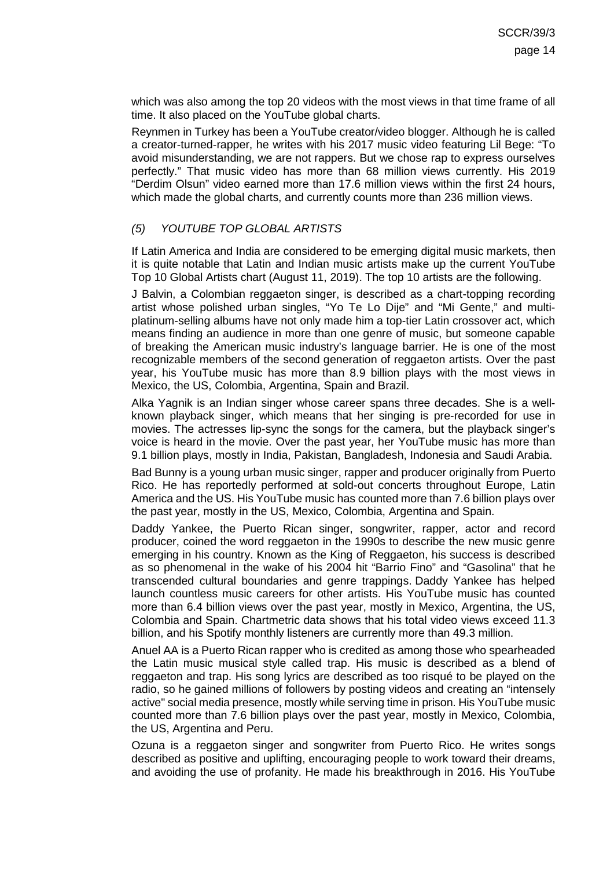which was also among the top 20 videos with the most views in that time frame of all time. It also placed on the YouTube global charts.

Reynmen in Turkey has been a YouTube creator/video blogger. Although he is called a creator-turned-rapper, he writes with his 2017 music video featuring Lil Bege: "To avoid misunderstanding, we are not rappers. But we chose rap to express ourselves perfectly." That music video has more than 68 million views currently. His 2019 "Derdim Olsun" video earned more than 17.6 million views within the first 24 hours, which made the global charts, and currently counts more than 236 million views.

### *(5) YOUTUBE TOP GLOBAL ARTISTS*

If Latin America and India are considered to be emerging digital music markets, then it is quite notable that Latin and Indian music artists make up the current YouTube Top 10 Global Artists chart (August 11, 2019). The top 10 artists are the following.

J Balvin, a Colombian reggaeton singer, is described as a chart-topping recording artist whose polished urban singles, "Yo Te Lo Dije" and "Mi Gente," and multiplatinum-selling albums have not only made him a top-tier Latin crossover act, which means finding an audience in more than one genre of music, but someone capable of breaking the American music industry's language barrier. He is one of the most recognizable members of the second generation of reggaeton artists. Over the past year, his YouTube music has more than 8.9 billion plays with the most views in Mexico, the US, Colombia, Argentina, Spain and Brazil.

Alka Yagnik is an Indian singer whose career spans three decades. She is a wellknown playback singer, which means that her singing is pre-recorded for use in movies. The actresses lip-sync the songs for the camera, but the playback singer's voice is heard in the movie. Over the past year, her YouTube music has more than 9.1 billion plays, mostly in India, Pakistan, Bangladesh, Indonesia and Saudi Arabia.

Bad Bunny is a young urban music singer, rapper and producer originally from Puerto Rico. He has reportedly performed at sold-out concerts throughout Europe, Latin America and the US. His YouTube music has counted more than 7.6 billion plays over the past year, mostly in the US, Mexico, Colombia, Argentina and Spain.

Daddy Yankee, the Puerto Rican singer, songwriter, rapper, actor and record producer, coined the word reggaeton in the 1990s to describe the new music genre emerging in his country. Known as the King of Reggaeton, his success is described as so phenomenal in the wake of his 2004 hit "Barrio Fino" and "Gasolina" that he transcended cultural boundaries and genre trappings. Daddy Yankee has helped launch countless music careers for other artists. His YouTube music has counted more than 6.4 billion views over the past year, mostly in Mexico, Argentina, the US, Colombia and Spain. Chartmetric data shows that his total video views exceed 11.3 billion, and his Spotify monthly listeners are currently more than 49.3 million.

Anuel AA is a Puerto Rican rapper who is credited as among those who spearheaded the Latin music musical style called trap. His music is described as a blend of reggaeton and trap. His song lyrics are described as too risqué to be played on the radio, so he gained millions of followers by posting videos and creating an "intensely active" social media presence, mostly while serving time in prison. His YouTube music counted more than 7.6 billion plays over the past year, mostly in Mexico, Colombia, the US, Argentina and Peru.

Ozuna is a reggaeton singer and songwriter from Puerto Rico. He writes songs described as positive and uplifting, encouraging people to work toward their dreams, and avoiding the use of profanity. He made his breakthrough in 2016. His YouTube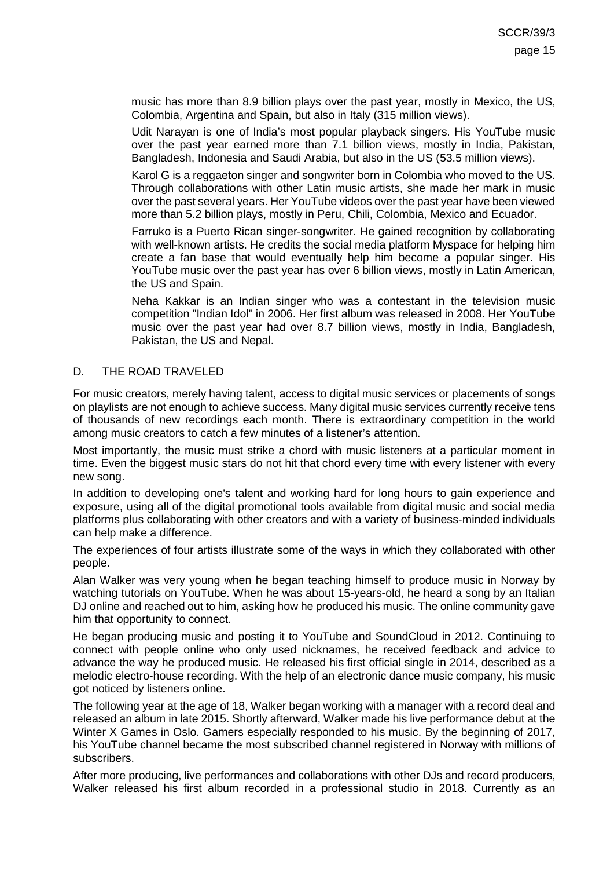music has more than 8.9 billion plays over the past year, mostly in Mexico, the US, Colombia, Argentina and Spain, but also in Italy (315 million views).

Udit Narayan is one of India's most popular playback singers. His YouTube music over the past year earned more than 7.1 billion views, mostly in India, Pakistan, Bangladesh, Indonesia and Saudi Arabia, but also in the US (53.5 million views).

Karol G is a reggaeton singer and songwriter born in Colombia who moved to the US. Through collaborations with other Latin music artists, she made her mark in music over the past several years. Her YouTube videos over the past year have been viewed more than 5.2 billion plays, mostly in Peru, Chili, Colombia, Mexico and Ecuador.

Farruko is a Puerto Rican singer-songwriter. He gained recognition by collaborating with well-known artists. He credits the social media platform Myspace for helping him create a fan base that would eventually help him become a popular singer. His YouTube music over the past year has over 6 billion views, mostly in Latin American, the US and Spain.

Neha Kakkar is an Indian singer who was a contestant in the television music competition "Indian Idol" in 2006. Her first album was released in 2008. Her YouTube music over the past year had over 8.7 billion views, mostly in India, Bangladesh, Pakistan, the US and Nepal.

### <span id="page-14-0"></span>D. THE ROAD TRAVELED

For music creators, merely having talent, access to digital music services or placements of songs on playlists are not enough to achieve success. Many digital music services currently receive tens of thousands of new recordings each month. There is extraordinary competition in the world among music creators to catch a few minutes of a listener's attention.

Most importantly, the music must strike a chord with music listeners at a particular moment in time. Even the biggest music stars do not hit that chord every time with every listener with every new song.

In addition to developing one's talent and working hard for long hours to gain experience and exposure, using all of the digital promotional tools available from digital music and social media platforms plus collaborating with other creators and with a variety of business-minded individuals can help make a difference.

The experiences of four artists illustrate some of the ways in which they collaborated with other people.

Alan Walker was very young when he began teaching himself to produce music in Norway by watching tutorials on YouTube. When he was about 15-years-old, he heard a song by an Italian DJ online and reached out to him, asking how he produced his music. The online community gave him that opportunity to connect.

He began producing music and posting it to YouTube and SoundCloud in 2012. Continuing to connect with people online who only used nicknames, he received feedback and advice to advance the way he produced music. He released his first official single in 2014, described as a melodic electro-house recording. With the help of an electronic dance music company, his music got noticed by listeners online.

The following year at the age of 18, Walker began working with a manager with a record deal and released an album in late 2015. Shortly afterward, Walker made his live performance debut at the Winter X Games in Oslo. Gamers especially responded to his music. By the beginning of 2017, his YouTube channel became the most subscribed channel registered in Norway with millions of subscribers.

After more producing, live performances and collaborations with other DJs and record producers, Walker released his first album recorded in a professional studio in 2018. Currently as an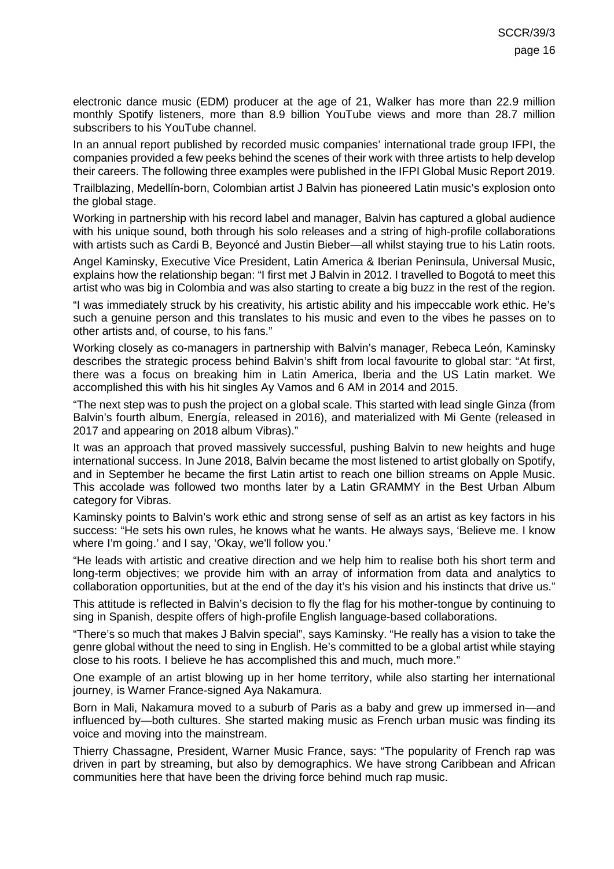electronic dance music (EDM) producer at the age of 21, Walker has more than 22.9 million monthly Spotify listeners, more than 8.9 billion YouTube views and more than 28.7 million subscribers to his YouTube channel.

In an annual report published by recorded music companies' international trade group IFPI, the companies provided a few peeks behind the scenes of their work with three artists to help develop their careers. The following three examples were published in the IFPI Global Music Report 2019.

Trailblazing, Medellín-born, Colombian artist J Balvin has pioneered Latin music's explosion onto the global stage.

Working in partnership with his record label and manager, Balvin has captured a global audience with his unique sound, both through his solo releases and a string of high-profile collaborations with artists such as Cardi B, Beyoncé and Justin Bieber—all whilst staying true to his Latin roots.

Angel Kaminsky, Executive Vice President, Latin America & Iberian Peninsula, Universal Music, explains how the relationship began: "I first met J Balvin in 2012. I travelled to Bogotá to meet this artist who was big in Colombia and was also starting to create a big buzz in the rest of the region.

"I was immediately struck by his creativity, his artistic ability and his impeccable work ethic. He's such a genuine person and this translates to his music and even to the vibes he passes on to other artists and, of course, to his fans."

Working closely as co-managers in partnership with Balvin's manager, Rebeca León, Kaminsky describes the strategic process behind Balvin's shift from local favourite to global star: "At first, there was a focus on breaking him in Latin America, Iberia and the US Latin market. We accomplished this with his hit singles Ay Vamos and 6 AM in 2014 and 2015.

"The next step was to push the project on a global scale. This started with lead single Ginza (from Balvin's fourth album, Energía, released in 2016), and materialized with Mi Gente (released in 2017 and appearing on 2018 album Vibras)."

It was an approach that proved massively successful, pushing Balvin to new heights and huge international success. In June 2018, Balvin became the most listened to artist globally on Spotify, and in September he became the first Latin artist to reach one billion streams on Apple Music. This accolade was followed two months later by a Latin GRAMMY in the Best Urban Album category for Vibras.

Kaminsky points to Balvin's work ethic and strong sense of self as an artist as key factors in his success: "He sets his own rules, he knows what he wants. He always says, 'Believe me. I know where I'm going.' and I say, 'Okay, we'll follow you.'

"He leads with artistic and creative direction and we help him to realise both his short term and long-term objectives; we provide him with an array of information from data and analytics to collaboration opportunities, but at the end of the day it's his vision and his instincts that drive us."

This attitude is reflected in Balvin's decision to fly the flag for his mother-tongue by continuing to sing in Spanish, despite offers of high-profile English language-based collaborations.

"There's so much that makes J Balvin special", says Kaminsky. "He really has a vision to take the genre global without the need to sing in English. He's committed to be a global artist while staying close to his roots. I believe he has accomplished this and much, much more."

One example of an artist blowing up in her home territory, while also starting her international journey, is Warner France-signed Aya Nakamura.

Born in Mali, Nakamura moved to a suburb of Paris as a baby and grew up immersed in—and influenced by—both cultures. She started making music as French urban music was finding its voice and moving into the mainstream.

Thierry Chassagne, President, Warner Music France, says: "The popularity of French rap was driven in part by streaming, but also by demographics. We have strong Caribbean and African communities here that have been the driving force behind much rap music.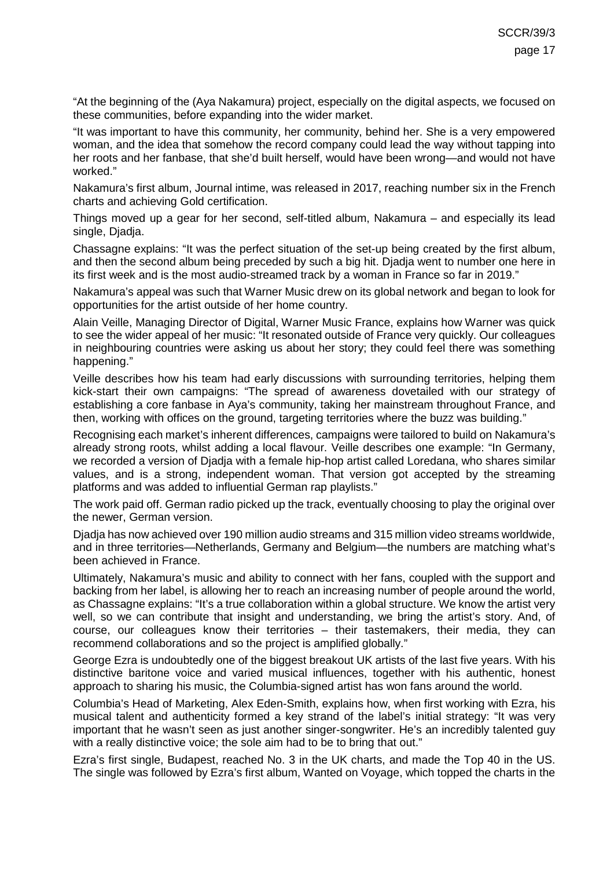"At the beginning of the (Aya Nakamura) project, especially on the digital aspects, we focused on these communities, before expanding into the wider market.

"It was important to have this community, her community, behind her. She is a very empowered woman, and the idea that somehow the record company could lead the way without tapping into her roots and her fanbase, that she'd built herself, would have been wrong—and would not have worked."

Nakamura's first album, Journal intime, was released in 2017, reaching number six in the French charts and achieving Gold certification.

Things moved up a gear for her second, self-titled album, Nakamura – and especially its lead single, Djadja.

Chassagne explains: "It was the perfect situation of the set-up being created by the first album, and then the second album being preceded by such a big hit. Djadja went to number one here in its first week and is the most audio-streamed track by a woman in France so far in 2019."

Nakamura's appeal was such that Warner Music drew on its global network and began to look for opportunities for the artist outside of her home country.

Alain Veille, Managing Director of Digital, Warner Music France, explains how Warner was quick to see the wider appeal of her music: "It resonated outside of France very quickly. Our colleagues in neighbouring countries were asking us about her story; they could feel there was something happening."

Veille describes how his team had early discussions with surrounding territories, helping them kick-start their own campaigns: "The spread of awareness dovetailed with our strategy of establishing a core fanbase in Aya's community, taking her mainstream throughout France, and then, working with offices on the ground, targeting territories where the buzz was building."

Recognising each market's inherent differences, campaigns were tailored to build on Nakamura's already strong roots, whilst adding a local flavour. Veille describes one example: "In Germany, we recorded a version of Djadja with a female hip-hop artist called Loredana, who shares similar values, and is a strong, independent woman. That version got accepted by the streaming platforms and was added to influential German rap playlists."

The work paid off. German radio picked up the track, eventually choosing to play the original over the newer, German version.

Djadja has now achieved over 190 million audio streams and 315 million video streams worldwide, and in three territories—Netherlands, Germany and Belgium—the numbers are matching what's been achieved in France.

Ultimately, Nakamura's music and ability to connect with her fans, coupled with the support and backing from her label, is allowing her to reach an increasing number of people around the world, as Chassagne explains: "It's a true collaboration within a global structure. We know the artist very well, so we can contribute that insight and understanding, we bring the artist's story. And, of course, our colleagues know their territories – their tastemakers, their media, they can recommend collaborations and so the project is amplified globally."

George Ezra is undoubtedly one of the biggest breakout UK artists of the last five years. With his distinctive baritone voice and varied musical influences, together with his authentic, honest approach to sharing his music, the Columbia-signed artist has won fans around the world.

Columbia's Head of Marketing, Alex Eden-Smith, explains how, when first working with Ezra, his musical talent and authenticity formed a key strand of the label's initial strategy: "It was very important that he wasn't seen as just another singer-songwriter. He's an incredibly talented guy with a really distinctive voice; the sole aim had to be to bring that out."

Ezra's first single, Budapest, reached No. 3 in the UK charts, and made the Top 40 in the US. The single was followed by Ezra's first album, Wanted on Voyage, which topped the charts in the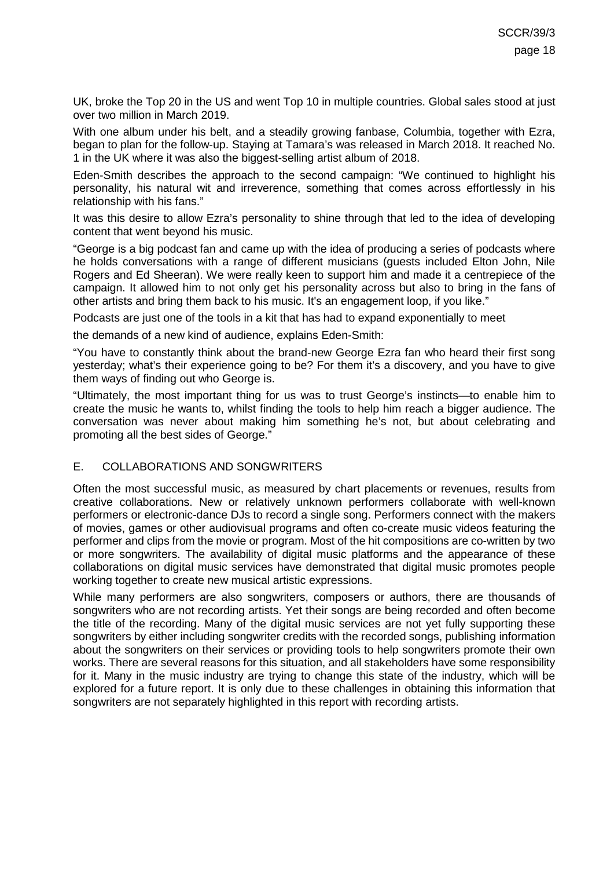UK, broke the Top 20 in the US and went Top 10 in multiple countries. Global sales stood at just over two million in March 2019.

With one album under his belt, and a steadily growing fanbase, Columbia, together with Ezra, began to plan for the follow-up. Staying at Tamara's was released in March 2018. It reached No. 1 in the UK where it was also the biggest-selling artist album of 2018.

Eden-Smith describes the approach to the second campaign: "We continued to highlight his personality, his natural wit and irreverence, something that comes across effortlessly in his relationship with his fans."

It was this desire to allow Ezra's personality to shine through that led to the idea of developing content that went beyond his music.

"George is a big podcast fan and came up with the idea of producing a series of podcasts where he holds conversations with a range of different musicians (guests included Elton John, Nile Rogers and Ed Sheeran). We were really keen to support him and made it a centrepiece of the campaign. It allowed him to not only get his personality across but also to bring in the fans of other artists and bring them back to his music. It's an engagement loop, if you like."

Podcasts are just one of the tools in a kit that has had to expand exponentially to meet

the demands of a new kind of audience, explains Eden-Smith:

"You have to constantly think about the brand-new George Ezra fan who heard their first song yesterday; what's their experience going to be? For them it's a discovery, and you have to give them ways of finding out who George is.

"Ultimately, the most important thing for us was to trust George's instincts—to enable him to create the music he wants to, whilst finding the tools to help him reach a bigger audience. The conversation was never about making him something he's not, but about celebrating and promoting all the best sides of George."

#### <span id="page-17-0"></span>E. COLLABORATIONS AND SONGWRITERS

Often the most successful music, as measured by chart placements or revenues, results from creative collaborations. New or relatively unknown performers collaborate with well-known performers or electronic-dance DJs to record a single song. Performers connect with the makers of movies, games or other audiovisual programs and often co-create music videos featuring the performer and clips from the movie or program. Most of the hit compositions are co-written by two or more songwriters. The availability of digital music platforms and the appearance of these collaborations on digital music services have demonstrated that digital music promotes people working together to create new musical artistic expressions.

While many performers are also songwriters, composers or authors, there are thousands of songwriters who are not recording artists. Yet their songs are being recorded and often become the title of the recording. Many of the digital music services are not yet fully supporting these songwriters by either including songwriter credits with the recorded songs, publishing information about the songwriters on their services or providing tools to help songwriters promote their own works. There are several reasons for this situation, and all stakeholders have some responsibility for it. Many in the music industry are trying to change this state of the industry, which will be explored for a future report. It is only due to these challenges in obtaining this information that songwriters are not separately highlighted in this report with recording artists.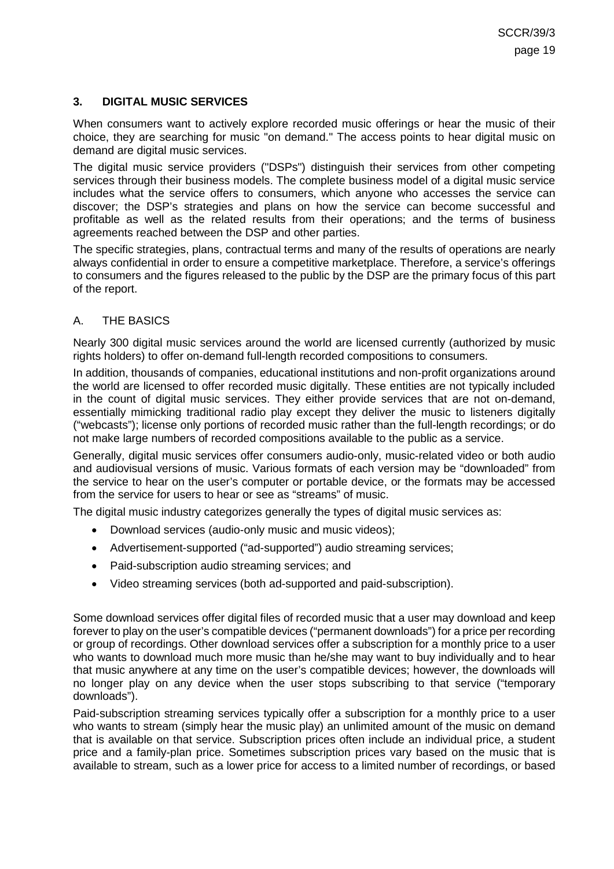### <span id="page-18-0"></span>**3. DIGITAL MUSIC SERVICES**

When consumers want to actively explore recorded music offerings or hear the music of their choice, they are searching for music "on demand." The access points to hear digital music on demand are digital music services.

The digital music service providers ("DSPs") distinguish their services from other competing services through their business models. The complete business model of a digital music service includes what the service offers to consumers, which anyone who accesses the service can discover; the DSP's strategies and plans on how the service can become successful and profitable as well as the related results from their operations; and the terms of business agreements reached between the DSP and other parties.

The specific strategies, plans, contractual terms and many of the results of operations are nearly always confidential in order to ensure a competitive marketplace. Therefore, a service's offerings to consumers and the figures released to the public by the DSP are the primary focus of this part of the report.

### <span id="page-18-1"></span>A. THE BASICS

Nearly 300 digital music services around the world are licensed currently (authorized by music rights holders) to offer on-demand full-length recorded compositions to consumers.

In addition, thousands of companies, educational institutions and non-profit organizations around the world are licensed to offer recorded music digitally. These entities are not typically included in the count of digital music services. They either provide services that are not on-demand, essentially mimicking traditional radio play except they deliver the music to listeners digitally ("webcasts"); license only portions of recorded music rather than the full-length recordings; or do not make large numbers of recorded compositions available to the public as a service.

Generally, digital music services offer consumers audio-only, music-related video or both audio and audiovisual versions of music. Various formats of each version may be "downloaded" from the service to hear on the user's computer or portable device, or the formats may be accessed from the service for users to hear or see as "streams" of music.

The digital music industry categorizes generally the types of digital music services as:

- Download services (audio-only music and music videos);
- Advertisement-supported ("ad-supported") audio streaming services;
- Paid-subscription audio streaming services; and
- Video streaming services (both ad-supported and paid-subscription).

Some download services offer digital files of recorded music that a user may download and keep forever to play on the user's compatible devices ("permanent downloads") for a price per recording or group of recordings. Other download services offer a subscription for a monthly price to a user who wants to download much more music than he/she may want to buy individually and to hear that music anywhere at any time on the user's compatible devices; however, the downloads will no longer play on any device when the user stops subscribing to that service ("temporary downloads").

Paid-subscription streaming services typically offer a subscription for a monthly price to a user who wants to stream (simply hear the music play) an unlimited amount of the music on demand that is available on that service. Subscription prices often include an individual price, a student price and a family-plan price. Sometimes subscription prices vary based on the music that is available to stream, such as a lower price for access to a limited number of recordings, or based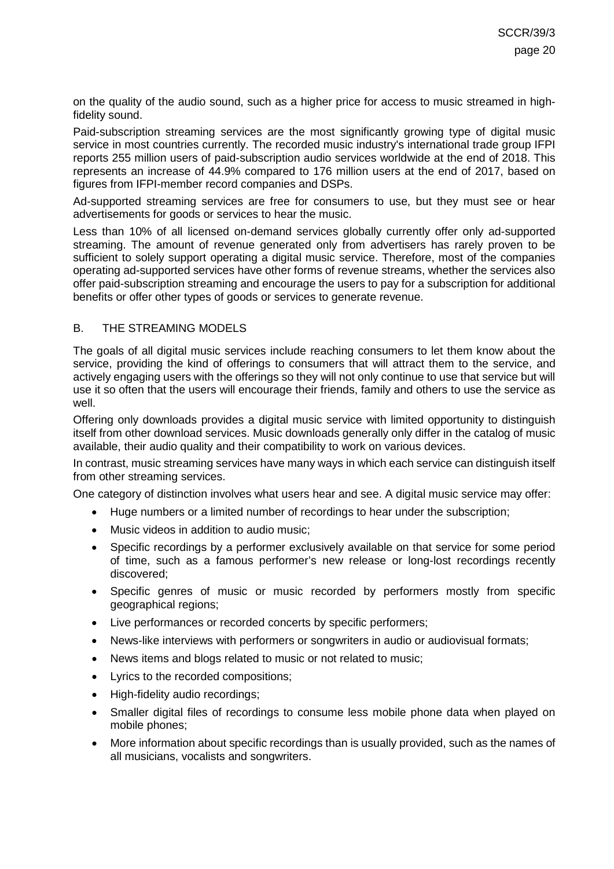on the quality of the audio sound, such as a higher price for access to music streamed in highfidelity sound.

Paid-subscription streaming services are the most significantly growing type of digital music service in most countries currently. The recorded music industry's international trade group IFPI reports 255 million users of paid-subscription audio services worldwide at the end of 2018. This represents an increase of 44.9% compared to 176 million users at the end of 2017, based on figures from IFPI-member record companies and DSPs.

Ad-supported streaming services are free for consumers to use, but they must see or hear advertisements for goods or services to hear the music.

Less than 10% of all licensed on-demand services globally currently offer only ad-supported streaming. The amount of revenue generated only from advertisers has rarely proven to be sufficient to solely support operating a digital music service. Therefore, most of the companies operating ad-supported services have other forms of revenue streams, whether the services also offer paid-subscription streaming and encourage the users to pay for a subscription for additional benefits or offer other types of goods or services to generate revenue.

#### <span id="page-19-0"></span>B. THE STREAMING MODELS

The goals of all digital music services include reaching consumers to let them know about the service, providing the kind of offerings to consumers that will attract them to the service, and actively engaging users with the offerings so they will not only continue to use that service but will use it so often that the users will encourage their friends, family and others to use the service as well.

Offering only downloads provides a digital music service with limited opportunity to distinguish itself from other download services. Music downloads generally only differ in the catalog of music available, their audio quality and their compatibility to work on various devices.

In contrast, music streaming services have many ways in which each service can distinguish itself from other streaming services.

One category of distinction involves what users hear and see. A digital music service may offer:

- Huge numbers or a limited number of recordings to hear under the subscription;
- Music videos in addition to audio music;
- Specific recordings by a performer exclusively available on that service for some period of time, such as a famous performer's new release or long-lost recordings recently discovered;
- Specific genres of music or music recorded by performers mostly from specific geographical regions;
- Live performances or recorded concerts by specific performers;
- News-like interviews with performers or songwriters in audio or audiovisual formats;
- News items and blogs related to music or not related to music;
- Lyrics to the recorded compositions;
- High-fidelity audio recordings;
- Smaller digital files of recordings to consume less mobile phone data when played on mobile phones;
- More information about specific recordings than is usually provided, such as the names of all musicians, vocalists and songwriters.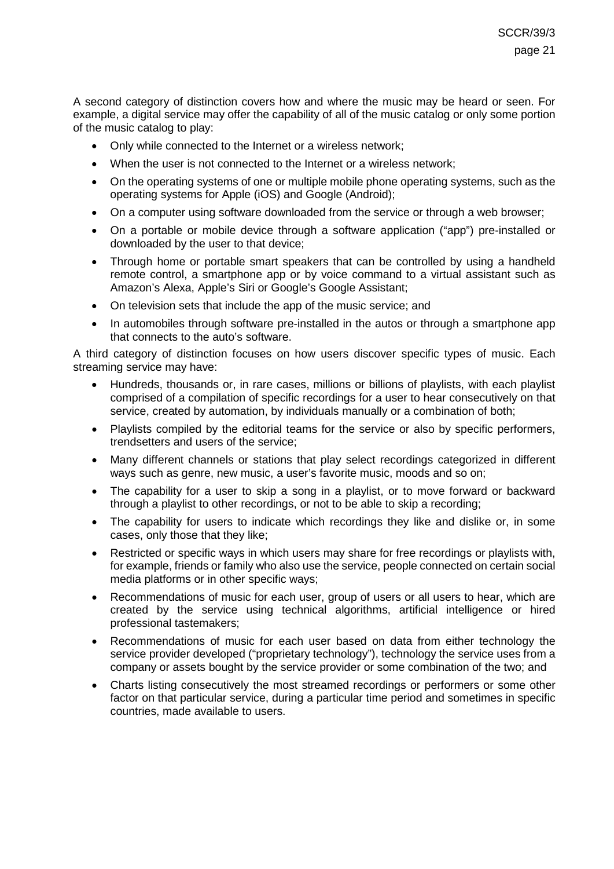A second category of distinction covers how and where the music may be heard or seen. For example, a digital service may offer the capability of all of the music catalog or only some portion of the music catalog to play:

- Only while connected to the Internet or a wireless network;
- When the user is not connected to the Internet or a wireless network;
- On the operating systems of one or multiple mobile phone operating systems, such as the operating systems for Apple (iOS) and Google (Android);
- On a computer using software downloaded from the service or through a web browser;
- On a portable or mobile device through a software application ("app") pre-installed or downloaded by the user to that device;
- Through home or portable smart speakers that can be controlled by using a handheld remote control, a smartphone app or by voice command to a virtual assistant such as Amazon's Alexa, Apple's Siri or Google's Google Assistant;
- On television sets that include the app of the music service; and
- In automobiles through software pre-installed in the autos or through a smartphone app that connects to the auto's software.

A third category of distinction focuses on how users discover specific types of music. Each streaming service may have:

- Hundreds, thousands or, in rare cases, millions or billions of playlists, with each playlist comprised of a compilation of specific recordings for a user to hear consecutively on that service, created by automation, by individuals manually or a combination of both;
- Playlists compiled by the editorial teams for the service or also by specific performers, trendsetters and users of the service;
- Many different channels or stations that play select recordings categorized in different ways such as genre, new music, a user's favorite music, moods and so on;
- The capability for a user to skip a song in a playlist, or to move forward or backward through a playlist to other recordings, or not to be able to skip a recording;
- The capability for users to indicate which recordings they like and dislike or, in some cases, only those that they like;
- Restricted or specific ways in which users may share for free recordings or playlists with, for example, friends or family who also use the service, people connected on certain social media platforms or in other specific ways;
- Recommendations of music for each user, group of users or all users to hear, which are created by the service using technical algorithms, artificial intelligence or hired professional tastemakers;
- Recommendations of music for each user based on data from either technology the service provider developed ("proprietary technology"), technology the service uses from a company or assets bought by the service provider or some combination of the two; and
- Charts listing consecutively the most streamed recordings or performers or some other factor on that particular service, during a particular time period and sometimes in specific countries, made available to users.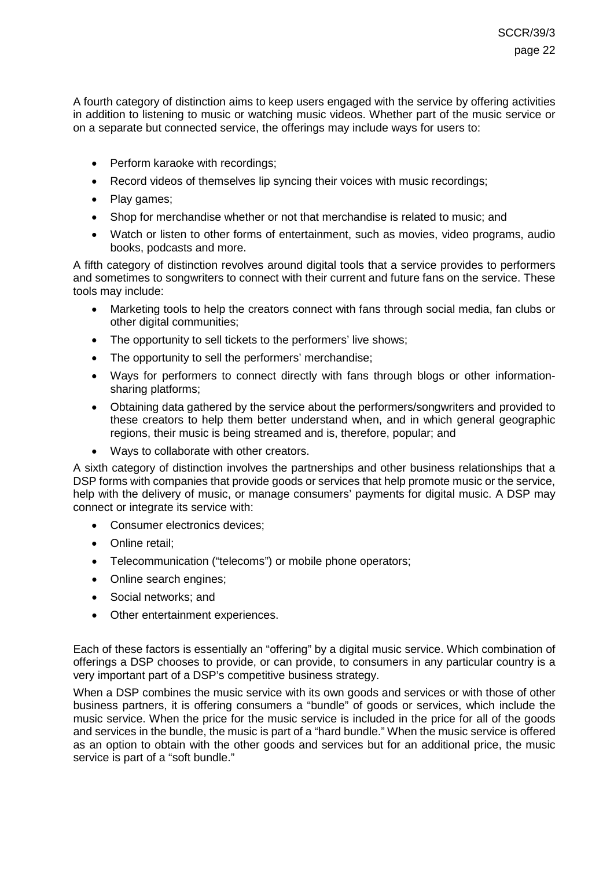A fourth category of distinction aims to keep users engaged with the service by offering activities in addition to listening to music or watching music videos. Whether part of the music service or on a separate but connected service, the offerings may include ways for users to:

- Perform karaoke with recordings;
- Record videos of themselves lip syncing their voices with music recordings;
- Play games;
- Shop for merchandise whether or not that merchandise is related to music; and
- Watch or listen to other forms of entertainment, such as movies, video programs, audio books, podcasts and more.

A fifth category of distinction revolves around digital tools that a service provides to performers and sometimes to songwriters to connect with their current and future fans on the service. These tools may include:

- Marketing tools to help the creators connect with fans through social media, fan clubs or other digital communities;
- The opportunity to sell tickets to the performers' live shows;
- The opportunity to sell the performers' merchandise;
- Ways for performers to connect directly with fans through blogs or other informationsharing platforms;
- Obtaining data gathered by the service about the performers/songwriters and provided to these creators to help them better understand when, and in which general geographic regions, their music is being streamed and is, therefore, popular; and
- Ways to collaborate with other creators.

A sixth category of distinction involves the partnerships and other business relationships that a DSP forms with companies that provide goods or services that help promote music or the service, help with the delivery of music, or manage consumers' payments for digital music. A DSP may connect or integrate its service with:

- Consumer electronics devices;
- Online retail:
- Telecommunication ("telecoms") or mobile phone operators;
- Online search engines;
- Social networks; and
- Other entertainment experiences.

Each of these factors is essentially an "offering" by a digital music service. Which combination of offerings a DSP chooses to provide, or can provide, to consumers in any particular country is a very important part of a DSP's competitive business strategy.

When a DSP combines the music service with its own goods and services or with those of other business partners, it is offering consumers a "bundle" of goods or services, which include the music service. When the price for the music service is included in the price for all of the goods and services in the bundle, the music is part of a "hard bundle." When the music service is offered as an option to obtain with the other goods and services but for an additional price, the music service is part of a "soft bundle."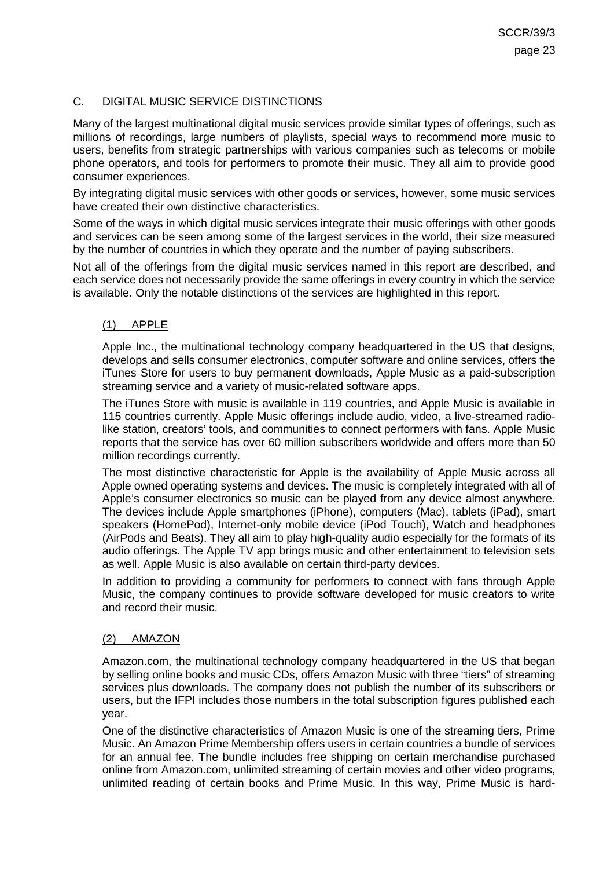## <span id="page-22-0"></span>C. DIGITAL MUSIC SERVICE DISTINCTIONS

Many of the largest multinational digital music services provide similar types of offerings, such as millions of recordings, large numbers of playlists, special ways to recommend more music to users, benefits from strategic partnerships with various companies such as telecoms or mobile phone operators, and tools for performers to promote their music. They all aim to provide good consumer experiences.

By integrating digital music services with other goods or services, however, some music services have created their own distinctive characteristics.

Some of the ways in which digital music services integrate their music offerings with other goods and services can be seen among some of the largest services in the world, their size measured by the number of countries in which they operate and the number of paying subscribers.

Not all of the offerings from the digital music services named in this report are described, and each service does not necessarily provide the same offerings in every country in which the service is available. Only the notable distinctions of the services are highlighted in this report.

### <span id="page-22-1"></span>(1) APPLE

Apple Inc., the multinational technology company headquartered in the US that designs, develops and sells consumer electronics, computer software and online services, offers the iTunes Store for users to buy permanent downloads, Apple Music as a paid-subscription streaming service and a variety of music-related software apps.

The iTunes Store with music is available in 119 countries, and Apple Music is available in 115 countries currently. Apple Music offerings include audio, video, a live-streamed radiolike station, creators' tools, and communities to connect performers with fans. Apple Music reports that the service has over 60 million subscribers worldwide and offers more than 50 million recordings currently.

The most distinctive characteristic for Apple is the availability of Apple Music across all Apple owned operating systems and devices. The music is completely integrated with all of Apple's consumer electronics so music can be played from any device almost anywhere. The devices include Apple smartphones (iPhone), computers (Mac), tablets (iPad), smart speakers (HomePod), Internet-only mobile device (iPod Touch), Watch and headphones (AirPods and Beats). They all aim to play high-quality audio especially for the formats of its audio offerings. The Apple TV app brings music and other entertainment to television sets as well. Apple Music is also available on certain third-party devices.

In addition to providing a community for performers to connect with fans through Apple Music, the company continues to provide software developed for music creators to write and record their music.

### <span id="page-22-2"></span>(2) AMAZON

Amazon.com, the multinational technology company headquartered in the US that began by selling online books and music CDs, offers Amazon Music with three "tiers" of streaming services plus downloads. The company does not publish the number of its subscribers or users, but the IFPI includes those numbers in the total subscription figures published each year.

One of the distinctive characteristics of Amazon Music is one of the streaming tiers, Prime Music. An Amazon Prime Membership offers users in certain countries a bundle of services for an annual fee. The bundle includes free shipping on certain merchandise purchased online from Amazon.com, unlimited streaming of certain movies and other video programs, unlimited reading of certain books and Prime Music. In this way, Prime Music is hard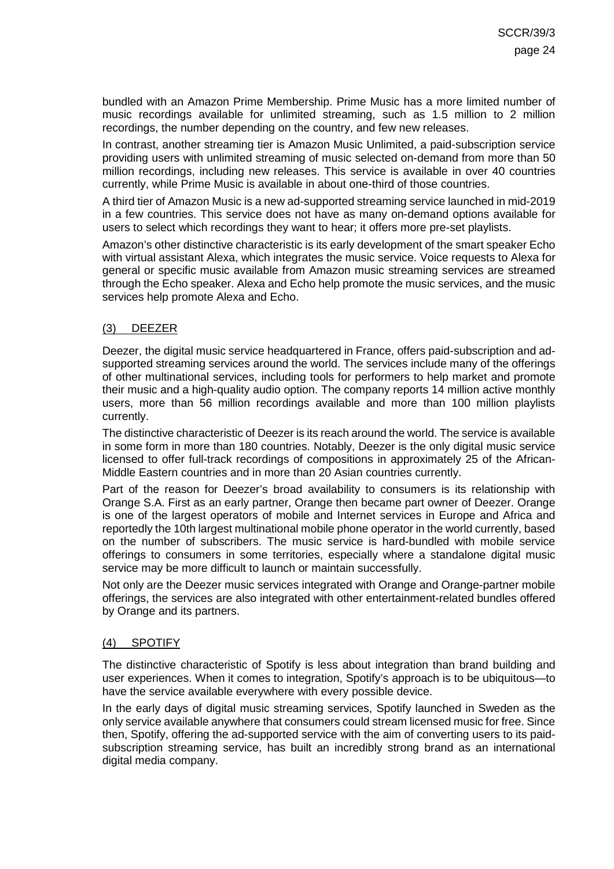bundled with an Amazon Prime Membership. Prime Music has a more limited number of music recordings available for unlimited streaming, such as 1.5 million to 2 million recordings, the number depending on the country, and few new releases.

In contrast, another streaming tier is Amazon Music Unlimited, a paid-subscription service providing users with unlimited streaming of music selected on-demand from more than 50 million recordings, including new releases. This service is available in over 40 countries currently, while Prime Music is available in about one-third of those countries.

A third tier of Amazon Music is a new ad-supported streaming service launched in mid-2019 in a few countries. This service does not have as many on-demand options available for users to select which recordings they want to hear; it offers more pre-set playlists.

Amazon's other distinctive characteristic is its early development of the smart speaker Echo with virtual assistant Alexa, which integrates the music service. Voice requests to Alexa for general or specific music available from Amazon music streaming services are streamed through the Echo speaker. Alexa and Echo help promote the music services, and the music services help promote Alexa and Echo.

### <span id="page-23-0"></span>(3) DEEZER

Deezer, the digital music service headquartered in France, offers paid-subscription and adsupported streaming services around the world. The services include many of the offerings of other multinational services, including tools for performers to help market and promote their music and a high-quality audio option. The company reports 14 million active monthly users, more than 56 million recordings available and more than 100 million playlists currently.

The distinctive characteristic of Deezer is its reach around the world. The service is available in some form in more than 180 countries. Notably, Deezer is the only digital music service licensed to offer full-track recordings of compositions in approximately 25 of the African-Middle Eastern countries and in more than 20 Asian countries currently.

Part of the reason for Deezer's broad availability to consumers is its relationship with Orange S.A. First as an early partner, Orange then became part owner of Deezer. Orange is one of the largest operators of mobile and Internet services in Europe and Africa and reportedly the 10th largest multinational mobile phone operator in the world currently, based on the number of subscribers. The music service is hard-bundled with mobile service offerings to consumers in some territories, especially where a standalone digital music service may be more difficult to launch or maintain successfully.

Not only are the Deezer music services integrated with Orange and Orange-partner mobile offerings, the services are also integrated with other entertainment-related bundles offered by Orange and its partners.

### <span id="page-23-1"></span>(4) SPOTIFY

The distinctive characteristic of Spotify is less about integration than brand building and user experiences. When it comes to integration, Spotify's approach is to be ubiquitous—to have the service available everywhere with every possible device.

In the early days of digital music streaming services, Spotify launched in Sweden as the only service available anywhere that consumers could stream licensed music for free. Since then, Spotify, offering the ad-supported service with the aim of converting users to its paidsubscription streaming service, has built an incredibly strong brand as an international digital media company.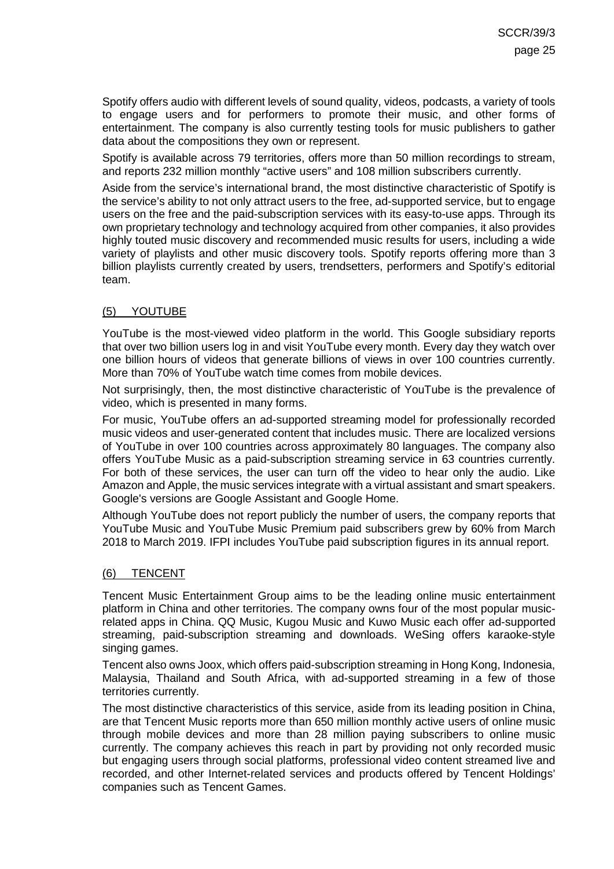Spotify offers audio with different levels of sound quality, videos, podcasts, a variety of tools to engage users and for performers to promote their music, and other forms of entertainment. The company is also currently testing tools for music publishers to gather data about the compositions they own or represent.

Spotify is available across 79 territories, offers more than 50 million recordings to stream, and reports 232 million monthly "active users" and 108 million subscribers currently.

Aside from the service's international brand, the most distinctive characteristic of Spotify is the service's ability to not only attract users to the free, ad-supported service, but to engage users on the free and the paid-subscription services with its easy-to-use apps. Through its own proprietary technology and technology acquired from other companies, it also provides highly touted music discovery and recommended music results for users, including a wide variety of playlists and other music discovery tools. Spotify reports offering more than 3 billion playlists currently created by users, trendsetters, performers and Spotify's editorial team.

### <span id="page-24-0"></span>(5) YOUTUBE

YouTube is the most-viewed video platform in the world. This Google subsidiary reports that over two billion users log in and visit YouTube every month. Every day they watch over one billion hours of videos that generate billions of views in over 100 countries currently. More than 70% of YouTube watch time comes from mobile devices.

Not surprisingly, then, the most distinctive characteristic of YouTube is the prevalence of video, which is presented in many forms.

For music, YouTube offers an ad-supported streaming model for professionally recorded music videos and user-generated content that includes music. There are localized versions of YouTube in over 100 countries across approximately 80 languages. The company also offers YouTube Music as a paid-subscription streaming service in 63 countries currently. For both of these services, the user can turn off the video to hear only the audio. Like Amazon and Apple, the music services integrate with a virtual assistant and smart speakers. Google's versions are Google Assistant and Google Home.

Although YouTube does not report publicly the number of users, the company reports that YouTube Music and YouTube Music Premium paid subscribers grew by 60% from March 2018 to March 2019. IFPI includes YouTube paid subscription figures in its annual report.

### <span id="page-24-1"></span>(6) TENCENT

Tencent Music Entertainment Group aims to be the leading online music entertainment platform in China and other territories. The company owns four of the most popular musicrelated apps in China. QQ Music, Kugou Music and Kuwo Music each offer ad-supported streaming, paid-subscription streaming and downloads. WeSing offers karaoke-style singing games.

Tencent also owns Joox, which offers paid-subscription streaming in Hong Kong, Indonesia, Malaysia, Thailand and South Africa, with ad-supported streaming in a few of those territories currently.

The most distinctive characteristics of this service, aside from its leading position in China, are that Tencent Music reports more than 650 million monthly active users of online music through mobile devices and more than 28 million paying subscribers to online music currently. The company achieves this reach in part by providing not only recorded music but engaging users through social platforms, professional video content streamed live and recorded, and other Internet-related services and products offered by Tencent Holdings' companies such as Tencent Games.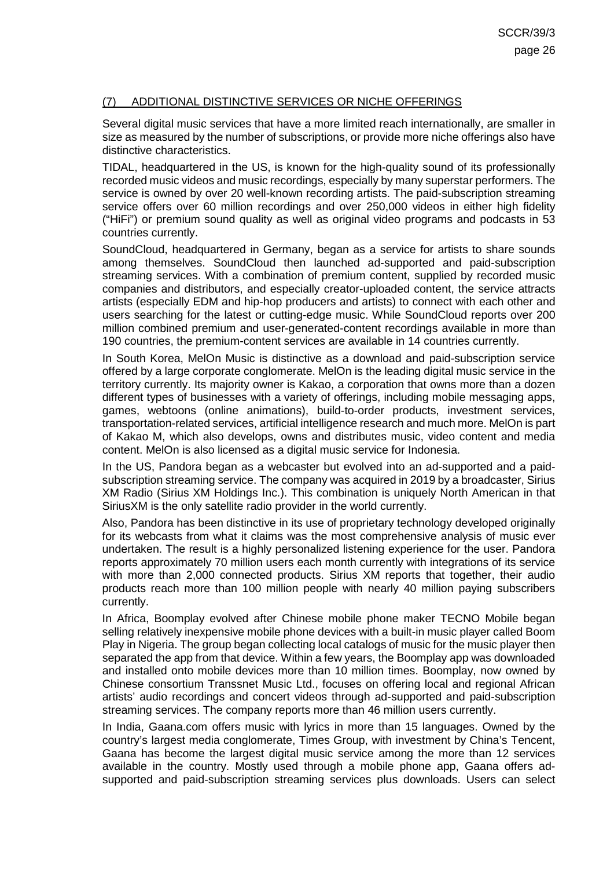### <span id="page-25-0"></span>(7) ADDITIONAL DISTINCTIVE SERVICES OR NICHE OFFERINGS

Several digital music services that have a more limited reach internationally, are smaller in size as measured by the number of subscriptions, or provide more niche offerings also have distinctive characteristics.

TIDAL, headquartered in the US, is known for the high-quality sound of its professionally recorded music videos and music recordings, especially by many superstar performers. The service is owned by over 20 well-known recording artists. The paid-subscription streaming service offers over 60 million recordings and over 250,000 videos in either high fidelity ("HiFi") or premium sound quality as well as original video programs and podcasts in 53 countries currently.

SoundCloud, headquartered in Germany, began as a service for artists to share sounds among themselves. SoundCloud then launched ad-supported and paid-subscription streaming services. With a combination of premium content, supplied by recorded music companies and distributors, and especially creator-uploaded content, the service attracts artists (especially EDM and hip-hop producers and artists) to connect with each other and users searching for the latest or cutting-edge music. While SoundCloud reports over 200 million combined premium and user-generated-content recordings available in more than 190 countries, the premium-content services are available in 14 countries currently.

In South Korea, MelOn Music is distinctive as a download and paid-subscription service offered by a large corporate conglomerate. MelOn is the leading digital music service in the territory currently. Its majority owner is Kakao, a corporation that owns more than a dozen different types of businesses with a variety of offerings, including mobile messaging apps, games, webtoons (online animations), build-to-order products, investment services, transportation-related services, artificial intelligence research and much more. MelOn is part of Kakao M, which also develops, owns and distributes music, video content and media content. MelOn is also licensed as a digital music service for Indonesia.

In the US, Pandora began as a webcaster but evolved into an ad-supported and a paidsubscription streaming service. The company was acquired in 2019 by a broadcaster, Sirius XM Radio (Sirius XM Holdings Inc.). This combination is uniquely North American in that SiriusXM is the only satellite radio provider in the world currently.

Also, Pandora has been distinctive in its use of proprietary technology developed originally for its webcasts from what it claims was the most comprehensive analysis of music ever undertaken. The result is a highly personalized listening experience for the user. Pandora reports approximately 70 million users each month currently with integrations of its service with more than 2,000 connected products. Sirius XM reports that together, their audio products reach more than 100 million people with nearly 40 million paying subscribers currently.

In Africa, Boomplay evolved after Chinese mobile phone maker TECNO Mobile began selling relatively inexpensive mobile phone devices with a built-in music player called Boom Play in Nigeria. The group began collecting local catalogs of music for the music player then separated the app from that device. Within a few years, the Boomplay app was downloaded and installed onto mobile devices more than 10 million times. Boomplay, now owned by Chinese consortium Transsnet Music Ltd., focuses on offering local and regional African artists' audio recordings and concert videos through ad-supported and paid-subscription streaming services. The company reports more than 46 million users currently.

In India, Gaana.com offers music with lyrics in more than 15 languages. Owned by the country's largest media conglomerate, Times Group, with investment by China's Tencent, Gaana has become the largest digital music service among the more than 12 services available in the country. Mostly used through a mobile phone app, Gaana offers adsupported and paid-subscription streaming services plus downloads. Users can select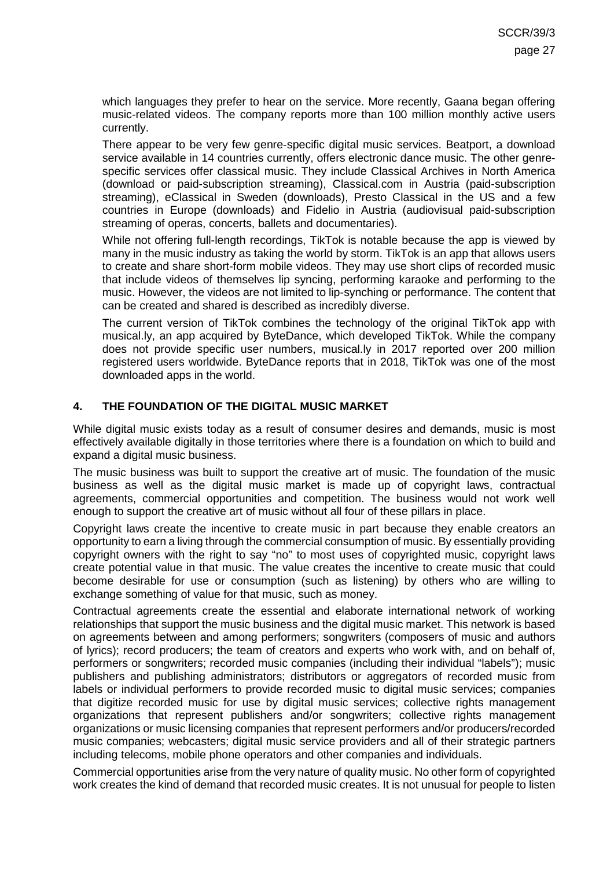which languages they prefer to hear on the service. More recently, Gaana began offering music-related videos. The company reports more than 100 million monthly active users currently.

There appear to be very few genre-specific digital music services. Beatport, a download service available in 14 countries currently, offers electronic dance music. The other genrespecific services offer classical music. They include Classical Archives in North America (download or paid-subscription streaming), Classical.com in Austria (paid-subscription streaming), eClassical in Sweden (downloads), Presto Classical in the US and a few countries in Europe (downloads) and Fidelio in Austria (audiovisual paid-subscription streaming of operas, concerts, ballets and documentaries).

While not offering full-length recordings, TikTok is notable because the app is viewed by many in the music industry as taking the world by storm. TikTok is an app that allows users to create and share short-form mobile videos. They may use short clips of recorded music that include videos of themselves lip syncing, performing karaoke and performing to the music. However, the videos are not limited to lip-synching or performance. The content that can be created and shared is described as incredibly diverse.

The current version of TikTok combines the technology of the original TikTok app with musical.ly, an app acquired by ByteDance, which developed TikTok. While the company does not provide specific user numbers, musical.ly in 2017 reported over 200 million registered users worldwide. ByteDance reports that in 2018, TikTok was one of the most downloaded apps in the world.

### <span id="page-26-0"></span>**4. THE FOUNDATION OF THE DIGITAL MUSIC MARKET**

While digital music exists today as a result of consumer desires and demands, music is most effectively available digitally in those territories where there is a foundation on which to build and expand a digital music business.

The music business was built to support the creative art of music. The foundation of the music business as well as the digital music market is made up of copyright laws, contractual agreements, commercial opportunities and competition. The business would not work well enough to support the creative art of music without all four of these pillars in place.

Copyright laws create the incentive to create music in part because they enable creators an opportunity to earn a living through the commercial consumption of music. By essentially providing copyright owners with the right to say "no" to most uses of copyrighted music, copyright laws create potential value in that music. The value creates the incentive to create music that could become desirable for use or consumption (such as listening) by others who are willing to exchange something of value for that music, such as money.

Contractual agreements create the essential and elaborate international network of working relationships that support the music business and the digital music market. This network is based on agreements between and among performers; songwriters (composers of music and authors of lyrics); record producers; the team of creators and experts who work with, and on behalf of, performers or songwriters; recorded music companies (including their individual "labels"); music publishers and publishing administrators; distributors or aggregators of recorded music from labels or individual performers to provide recorded music to digital music services; companies that digitize recorded music for use by digital music services; collective rights management organizations that represent publishers and/or songwriters; collective rights management organizations or music licensing companies that represent performers and/or producers/recorded music companies; webcasters; digital music service providers and all of their strategic partners including telecoms, mobile phone operators and other companies and individuals.

Commercial opportunities arise from the very nature of quality music. No other form of copyrighted work creates the kind of demand that recorded music creates. It is not unusual for people to listen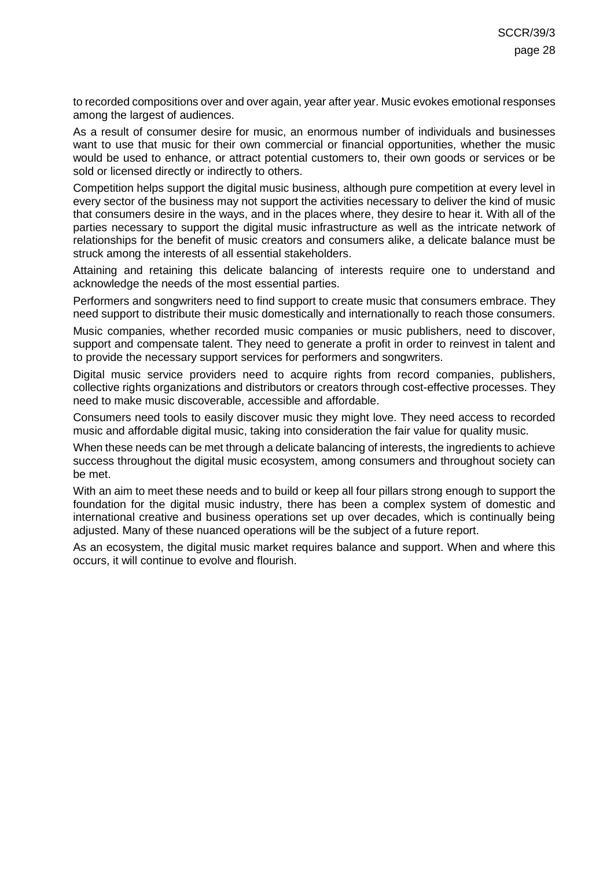to recorded compositions over and over again, year after year. Music evokes emotional responses among the largest of audiences.

As a result of consumer desire for music, an enormous number of individuals and businesses want to use that music for their own commercial or financial opportunities, whether the music would be used to enhance, or attract potential customers to, their own goods or services or be sold or licensed directly or indirectly to others.

Competition helps support the digital music business, although pure competition at every level in every sector of the business may not support the activities necessary to deliver the kind of music that consumers desire in the ways, and in the places where, they desire to hear it. With all of the parties necessary to support the digital music infrastructure as well as the intricate network of relationships for the benefit of music creators and consumers alike, a delicate balance must be struck among the interests of all essential stakeholders.

Attaining and retaining this delicate balancing of interests require one to understand and acknowledge the needs of the most essential parties.

Performers and songwriters need to find support to create music that consumers embrace. They need support to distribute their music domestically and internationally to reach those consumers.

Music companies, whether recorded music companies or music publishers, need to discover, support and compensate talent. They need to generate a profit in order to reinvest in talent and to provide the necessary support services for performers and songwriters.

Digital music service providers need to acquire rights from record companies, publishers, collective rights organizations and distributors or creators through cost-effective processes. They need to make music discoverable, accessible and affordable.

Consumers need tools to easily discover music they might love. They need access to recorded music and affordable digital music, taking into consideration the fair value for quality music.

When these needs can be met through a delicate balancing of interests, the ingredients to achieve success throughout the digital music ecosystem, among consumers and throughout society can be met.

With an aim to meet these needs and to build or keep all four pillars strong enough to support the foundation for the digital music industry, there has been a complex system of domestic and international creative and business operations set up over decades, which is continually being adjusted. Many of these nuanced operations will be the subject of a future report.

As an ecosystem, the digital music market requires balance and support. When and where this occurs, it will continue to evolve and flourish.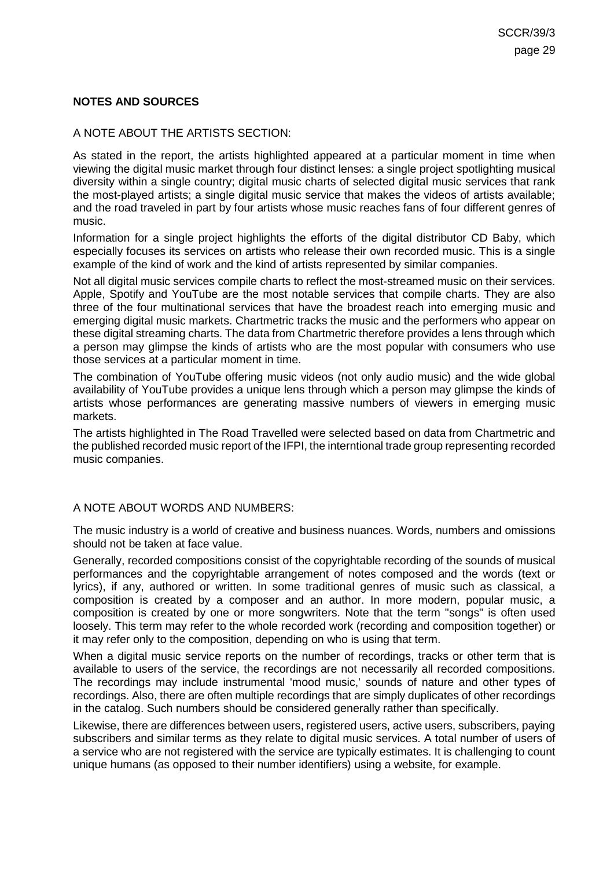### <span id="page-28-0"></span>**NOTES AND SOURCES**

### <span id="page-28-1"></span>A NOTE ABOUT THE ARTISTS SECTION:

As stated in the report, the artists highlighted appeared at a particular moment in time when viewing the digital music market through four distinct lenses: a single project spotlighting musical diversity within a single country; digital music charts of selected digital music services that rank the most-played artists; a single digital music service that makes the videos of artists available; and the road traveled in part by four artists whose music reaches fans of four different genres of music.

Information for a single project highlights the efforts of the digital distributor CD Baby, which especially focuses its services on artists who release their own recorded music. This is a single example of the kind of work and the kind of artists represented by similar companies.

Not all digital music services compile charts to reflect the most-streamed music on their services. Apple, Spotify and YouTube are the most notable services that compile charts. They are also three of the four multinational services that have the broadest reach into emerging music and emerging digital music markets. Chartmetric tracks the music and the performers who appear on these digital streaming charts. The data from Chartmetric therefore provides a lens through which a person may glimpse the kinds of artists who are the most popular with consumers who use those services at a particular moment in time.

The combination of YouTube offering music videos (not only audio music) and the wide global availability of YouTube provides a unique lens through which a person may glimpse the kinds of artists whose performances are generating massive numbers of viewers in emerging music markets.

The artists highlighted in The Road Travelled were selected based on data from Chartmetric and the published recorded music report of the IFPI, the interntional trade group representing recorded music companies.

#### <span id="page-28-2"></span>A NOTE ABOUT WORDS AND NUMBERS:

The music industry is a world of creative and business nuances. Words, numbers and omissions should not be taken at face value.

Generally, recorded compositions consist of the copyrightable recording of the sounds of musical performances and the copyrightable arrangement of notes composed and the words (text or lyrics), if any, authored or written. In some traditional genres of music such as classical, a composition is created by a composer and an author. In more modern, popular music, a composition is created by one or more songwriters. Note that the term "songs" is often used loosely. This term may refer to the whole recorded work (recording and composition together) or it may refer only to the composition, depending on who is using that term.

When a digital music service reports on the number of recordings, tracks or other term that is available to users of the service, the recordings are not necessarily all recorded compositions. The recordings may include instrumental 'mood music,' sounds of nature and other types of recordings. Also, there are often multiple recordings that are simply duplicates of other recordings in the catalog. Such numbers should be considered generally rather than specifically.

Likewise, there are differences between users, registered users, active users, subscribers, paying subscribers and similar terms as they relate to digital music services. A total number of users of a service who are not registered with the service are typically estimates. It is challenging to count unique humans (as opposed to their number identifiers) using a website, for example.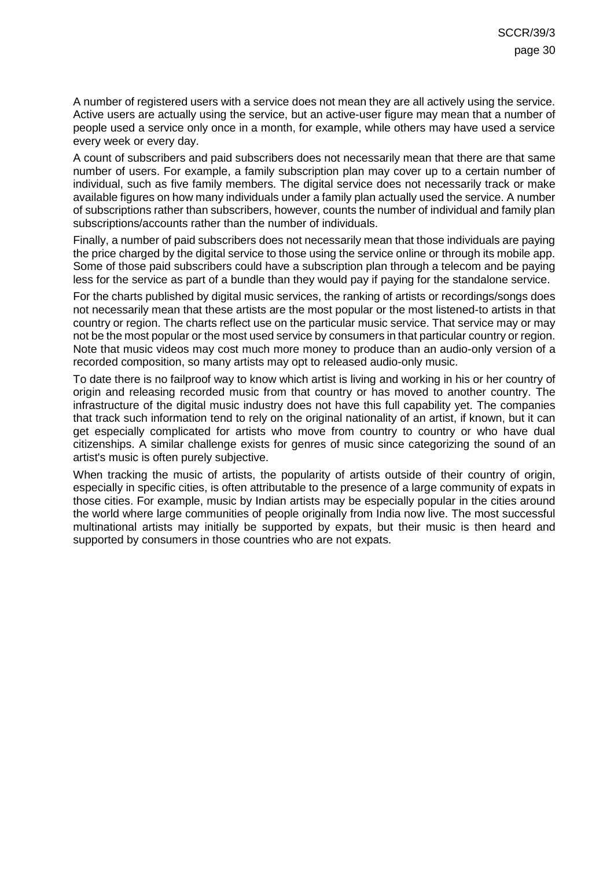A number of registered users with a service does not mean they are all actively using the service. Active users are actually using the service, but an active-user figure may mean that a number of people used a service only once in a month, for example, while others may have used a service every week or every day.

A count of subscribers and paid subscribers does not necessarily mean that there are that same number of users. For example, a family subscription plan may cover up to a certain number of individual, such as five family members. The digital service does not necessarily track or make available figures on how many individuals under a family plan actually used the service. A number of subscriptions rather than subscribers, however, counts the number of individual and family plan subscriptions/accounts rather than the number of individuals.

Finally, a number of paid subscribers does not necessarily mean that those individuals are paying the price charged by the digital service to those using the service online or through its mobile app. Some of those paid subscribers could have a subscription plan through a telecom and be paying less for the service as part of a bundle than they would pay if paying for the standalone service.

For the charts published by digital music services, the ranking of artists or recordings/songs does not necessarily mean that these artists are the most popular or the most listened-to artists in that country or region. The charts reflect use on the particular music service. That service may or may not be the most popular or the most used service by consumers in that particular country or region. Note that music videos may cost much more money to produce than an audio-only version of a recorded composition, so many artists may opt to released audio-only music.

To date there is no failproof way to know which artist is living and working in his or her country of origin and releasing recorded music from that country or has moved to another country. The infrastructure of the digital music industry does not have this full capability yet. The companies that track such information tend to rely on the original nationality of an artist, if known, but it can get especially complicated for artists who move from country to country or who have dual citizenships. A similar challenge exists for genres of music since categorizing the sound of an artist's music is often purely subjective.

When tracking the music of artists, the popularity of artists outside of their country of origin, especially in specific cities, is often attributable to the presence of a large community of expats in those cities. For example, music by Indian artists may be especially popular in the cities around the world where large communities of people originally from India now live. The most successful multinational artists may initially be supported by expats, but their music is then heard and supported by consumers in those countries who are not expats.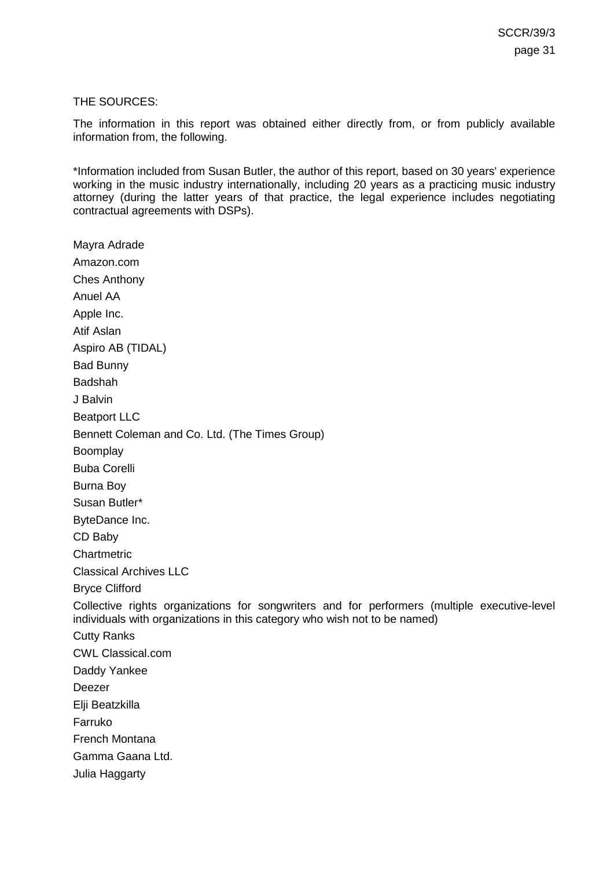#### <span id="page-30-0"></span>THE SOURCES:

The information in this report was obtained either directly from, or from publicly available information from, the following.

\*Information included from Susan Butler, the author of this report, based on 30 years' experience working in the music industry internationally, including 20 years as a practicing music industry attorney (during the latter years of that practice, the legal experience includes negotiating contractual agreements with DSPs).

Mayra Adrade Amazon.com Ches Anthony Anuel AA Apple Inc. Atif Aslan Aspiro AB (TIDAL) Bad Bunny Badshah J Balvin Beatport LLC Bennett Coleman and Co. Ltd. (The Times Group) **Boomplay** Buba Corelli Burna Boy Susan Butler\* ByteDance Inc. CD Baby Chartmetric Classical Archives LLC Bryce Clifford Collective rights organizations for songwriters and for performers (multiple executive-level individuals with organizations in this category who wish not to be named) Cutty Ranks CWL Classical.com Daddy Yankee Deezer Elji Beatzkilla Farruko French Montana Gamma Gaana Ltd. Julia Haggarty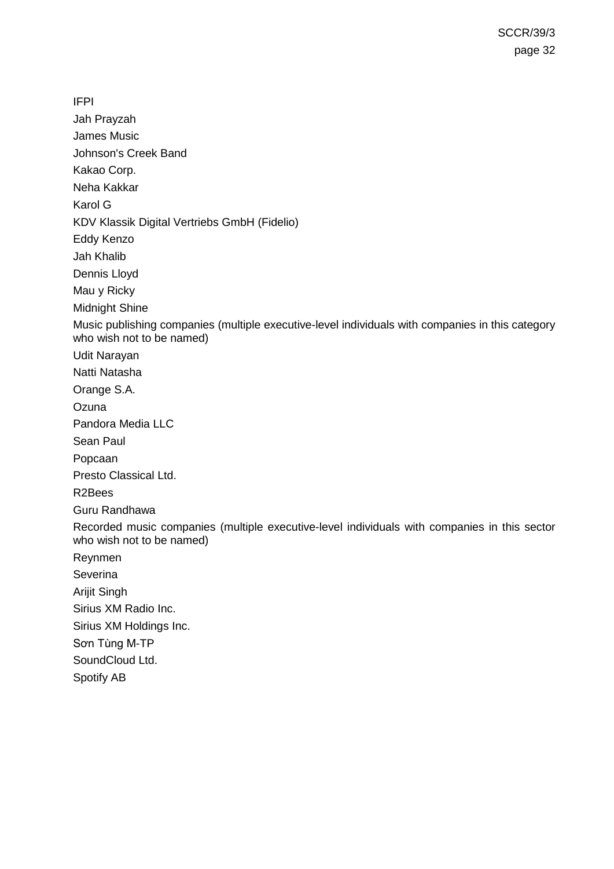IFPI Jah Prayzah James Music Johnson's Creek Band Kakao Corp. Neha Kakkar Karol G KDV Klassik Digital Vertriebs GmbH (Fidelio) Eddy Kenzo Jah Khalib Dennis Lloyd Mau y Ricky Midnight Shine Music publishing companies (multiple executive-level individuals with companies in this category who wish not to be named) Udit Narayan Natti Natasha Orange S.A. **Ozuna** Pandora Media LLC Sean Paul Popcaan Presto Classical Ltd. R2Bees Guru Randhawa Recorded music companies (multiple executive-level individuals with companies in this sector who wish not to be named) Reynmen Severina Arijit Singh Sirius XM Radio Inc. Sirius XM Holdings Inc. Sơn Tùng M-TP SoundCloud Ltd. Spotify AB